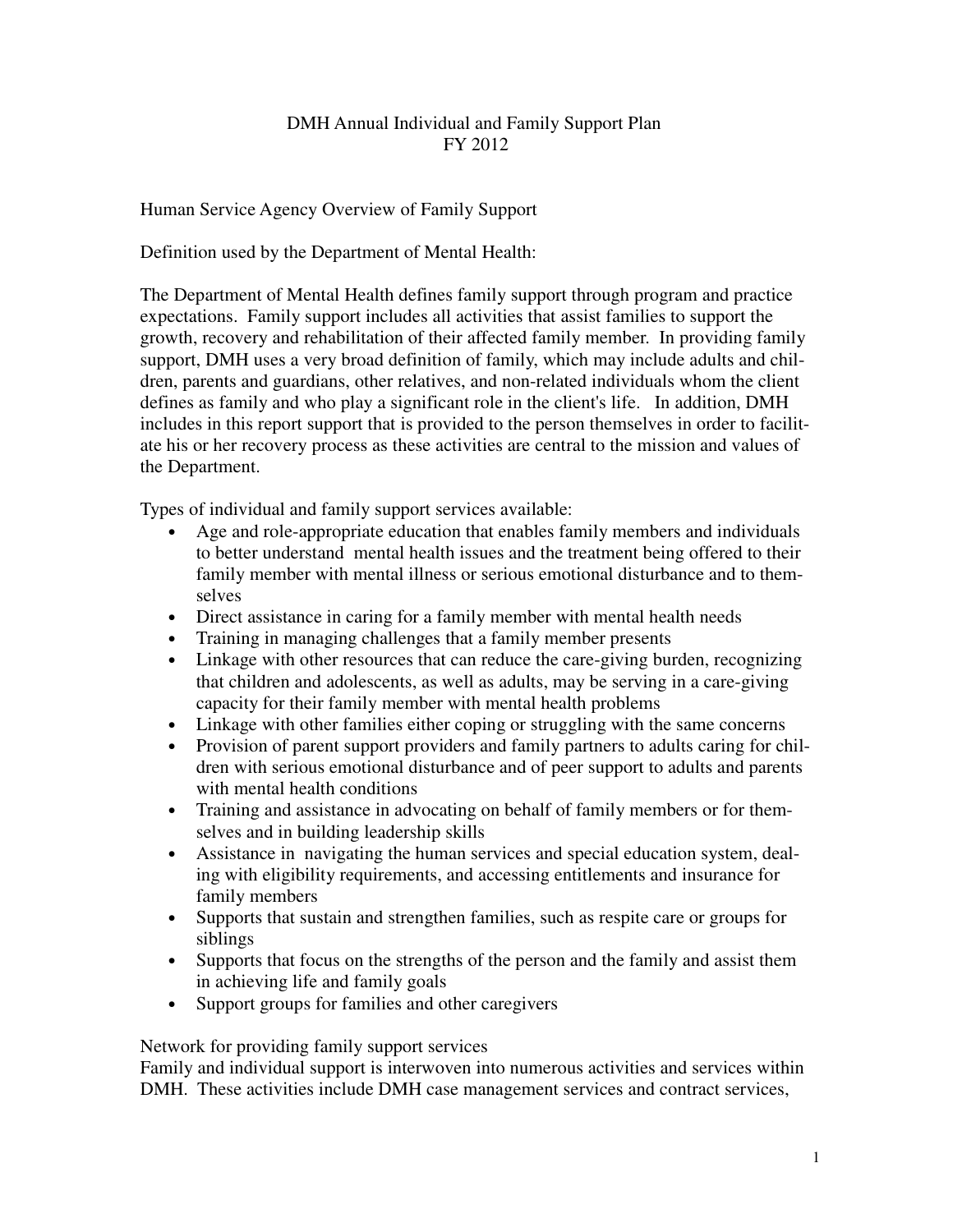# DMH Annual Individual and Family Support Plan FY 2012

Human Service Agency Overview of Family Support

Definition used by the Department of Mental Health:

The Department of Mental Health defines family support through program and practice expectations. Family support includes all activities that assist families to support the growth, recovery and rehabilitation of their affected family member. In providing family support, DMH uses a very broad definition of family, which may include adults and children, parents and guardians, other relatives, and non-related individuals whom the client defines as family and who play a significant role in the client's life. In addition, DMH includes in this report support that is provided to the person themselves in order to facilitate his or her recovery process as these activities are central to the mission and values of the Department.

Types of individual and family support services available:

- Age and role-appropriate education that enables family members and individuals to better understand mental health issues and the treatment being offered to their family member with mental illness or serious emotional disturbance and to themselves
- Direct assistance in caring for a family member with mental health needs
- Training in managing challenges that a family member presents
- Linkage with other resources that can reduce the care-giving burden, recognizing that children and adolescents, as well as adults, may be serving in a care-giving capacity for their family member with mental health problems
- Linkage with other families either coping or struggling with the same concerns
- Provision of parent support providers and family partners to adults caring for children with serious emotional disturbance and of peer support to adults and parents with mental health conditions
- Training and assistance in advocating on behalf of family members or for themselves and in building leadership skills
- Assistance in navigating the human services and special education system, dealing with eligibility requirements, and accessing entitlements and insurance for family members
- Supports that sustain and strengthen families, such as respite care or groups for siblings
- Supports that focus on the strengths of the person and the family and assist them in achieving life and family goals
- Support groups for families and other caregivers

Network for providing family support services

Family and individual support is interwoven into numerous activities and services within DMH. These activities include DMH case management services and contract services,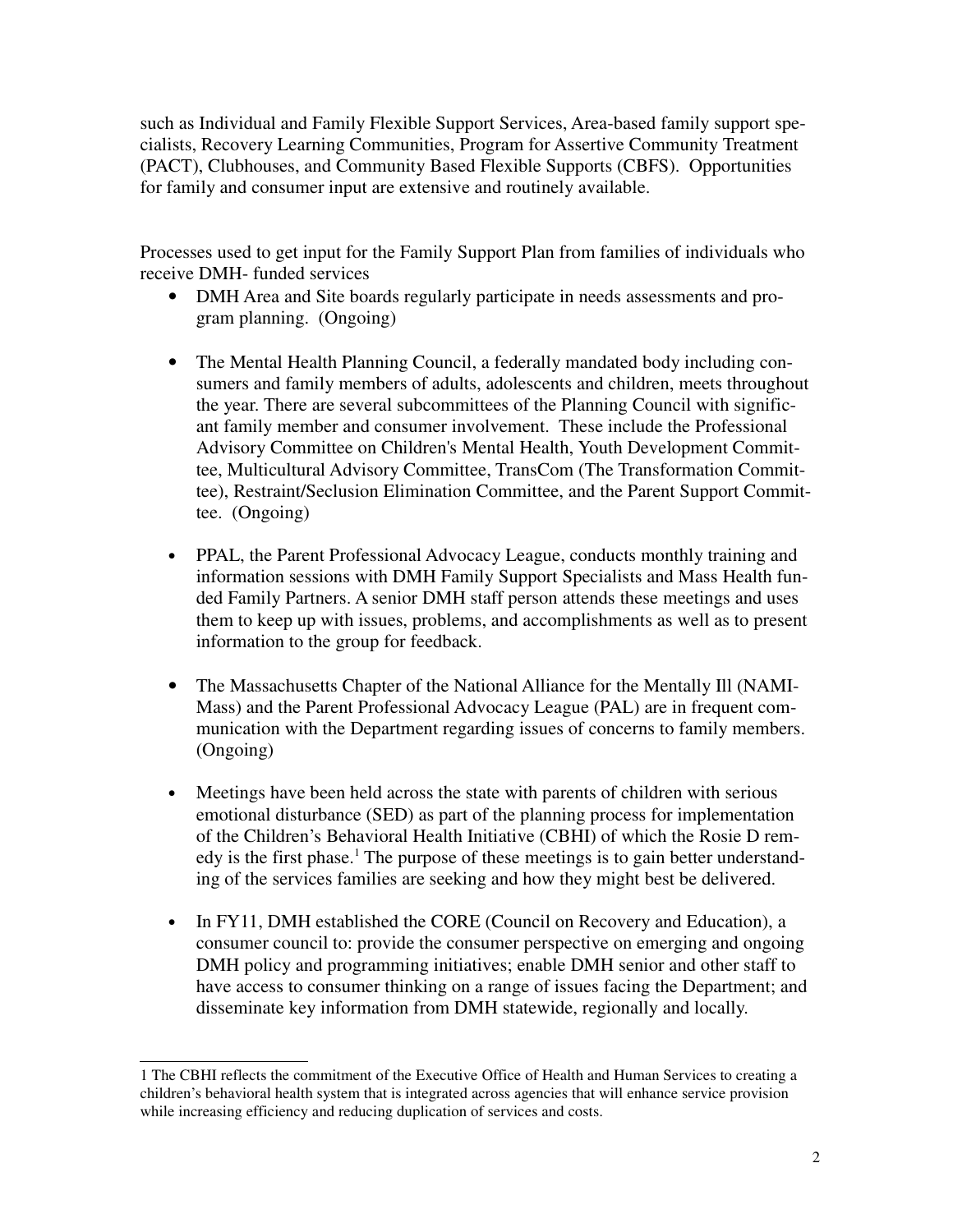such as Individual and Family Flexible Support Services, Area-based family support specialists, Recovery Learning Communities, Program for Assertive Community Treatment (PACT), Clubhouses, and Community Based Flexible Supports (CBFS). Opportunities for family and consumer input are extensive and routinely available.

Processes used to get input for the Family Support Plan from families of individuals who receive DMH- funded services

- DMH Area and Site boards regularly participate in needs assessments and program planning. (Ongoing)
- The Mental Health Planning Council, a federally mandated body including consumers and family members of adults, adolescents and children, meets throughout the year. There are several subcommittees of the Planning Council with significant family member and consumer involvement. These include the Professional Advisory Committee on Children's Mental Health, Youth Development Committee, Multicultural Advisory Committee, TransCom (The Transformation Committee), Restraint/Seclusion Elimination Committee, and the Parent Support Committee. (Ongoing)
- PPAL, the Parent Professional Advocacy League, conducts monthly training and information sessions with DMH Family Support Specialists and Mass Health funded Family Partners. A senior DMH staff person attends these meetings and uses them to keep up with issues, problems, and accomplishments as well as to present information to the group for feedback.
- The Massachusetts Chapter of the National Alliance for the Mentally Ill (NAMI-Mass) and the Parent Professional Advocacy League (PAL) are in frequent communication with the Department regarding issues of concerns to family members. (Ongoing)
- Meetings have been held across the state with parents of children with serious emotional disturbance (SED) as part of the planning process for implementation of the Children's Behavioral Health Initiative (CBHI) of which the Rosie D remedy is the first phase.<sup>1</sup> The purpose of these meetings is to gain better understanding of the services families are seeking and how they might best be delivered.
- In FY11, DMH established the CORE (Council on Recovery and Education), a consumer council to: provide the consumer perspective on emerging and ongoing DMH policy and programming initiatives; enable DMH senior and other staff to have access to consumer thinking on a range of issues facing the Department; and disseminate key information from DMH statewide, regionally and locally.

<sup>1</sup> The CBHI reflects the commitment of the Executive Office of Health and Human Services to creating a children's behavioral health system that is integrated across agencies that will enhance service provision while increasing efficiency and reducing duplication of services and costs.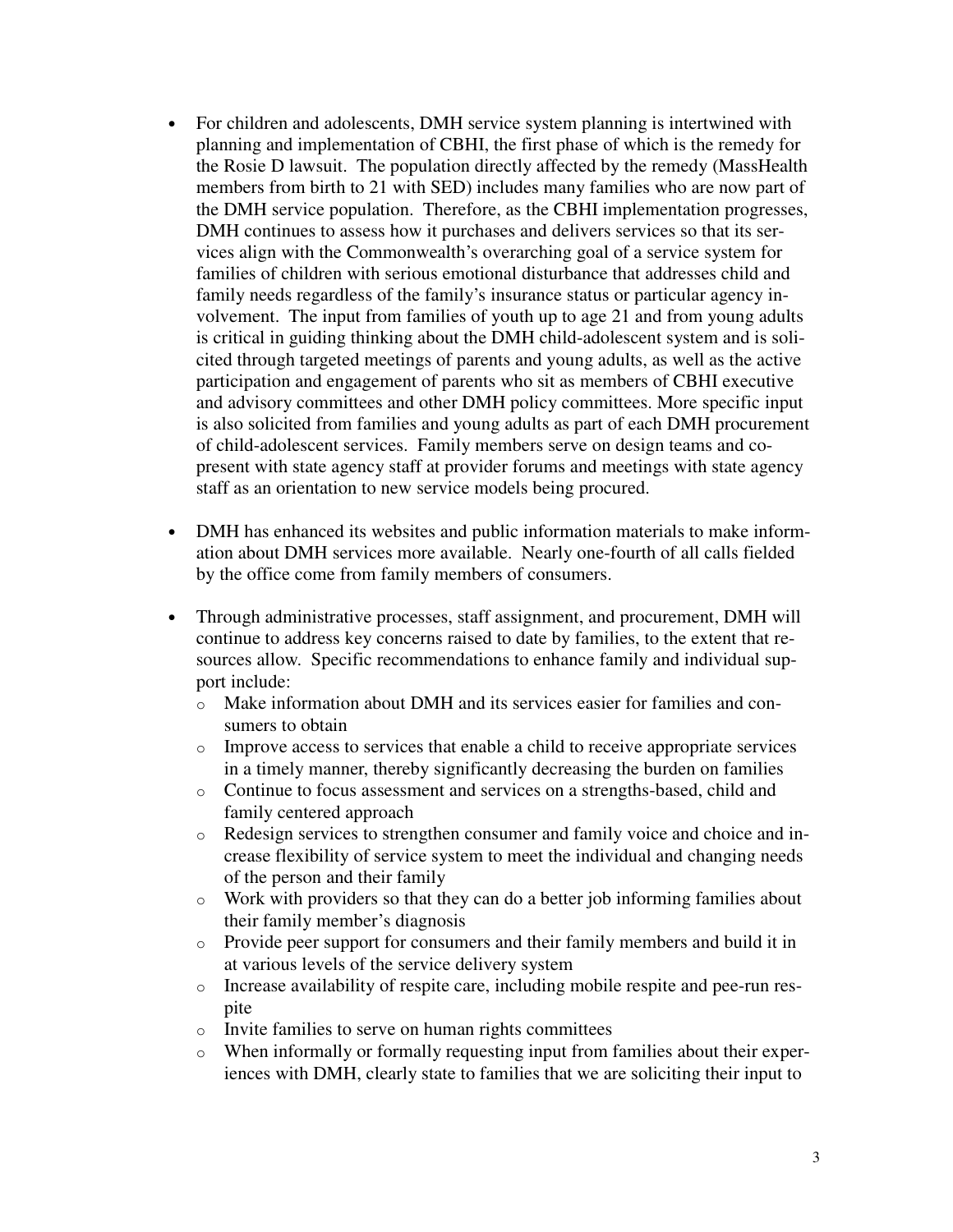- For children and adolescents, DMH service system planning is intertwined with planning and implementation of CBHI, the first phase of which is the remedy for the Rosie D lawsuit. The population directly affected by the remedy (MassHealth members from birth to 21 with SED) includes many families who are now part of the DMH service population. Therefore, as the CBHI implementation progresses, DMH continues to assess how it purchases and delivers services so that its services align with the Commonwealth's overarching goal of a service system for families of children with serious emotional disturbance that addresses child and family needs regardless of the family's insurance status or particular agency involvement. The input from families of youth up to age 21 and from young adults is critical in guiding thinking about the DMH child-adolescent system and is solicited through targeted meetings of parents and young adults, as well as the active participation and engagement of parents who sit as members of CBHI executive and advisory committees and other DMH policy committees. More specific input is also solicited from families and young adults as part of each DMH procurement of child-adolescent services. Family members serve on design teams and copresent with state agency staff at provider forums and meetings with state agency staff as an orientation to new service models being procured.
- DMH has enhanced its websites and public information materials to make information about DMH services more available. Nearly one-fourth of all calls fielded by the office come from family members of consumers.
- Through administrative processes, staff assignment, and procurement, DMH will continue to address key concerns raised to date by families, to the extent that resources allow. Specific recommendations to enhance family and individual support include:
	- o Make information about DMH and its services easier for families and consumers to obtain
	- $\circ$  Improve access to services that enable a child to receive appropriate services in a timely manner, thereby significantly decreasing the burden on families
	- o Continue to focus assessment and services on a strengths-based, child and family centered approach
	- o Redesign services to strengthen consumer and family voice and choice and increase flexibility of service system to meet the individual and changing needs of the person and their family
	- o Work with providers so that they can do a better job informing families about their family member's diagnosis
	- o Provide peer support for consumers and their family members and build it in at various levels of the service delivery system
	- o Increase availability of respite care, including mobile respite and pee-run respite
	- o Invite families to serve on human rights committees
	- o When informally or formally requesting input from families about their experiences with DMH, clearly state to families that we are soliciting their input to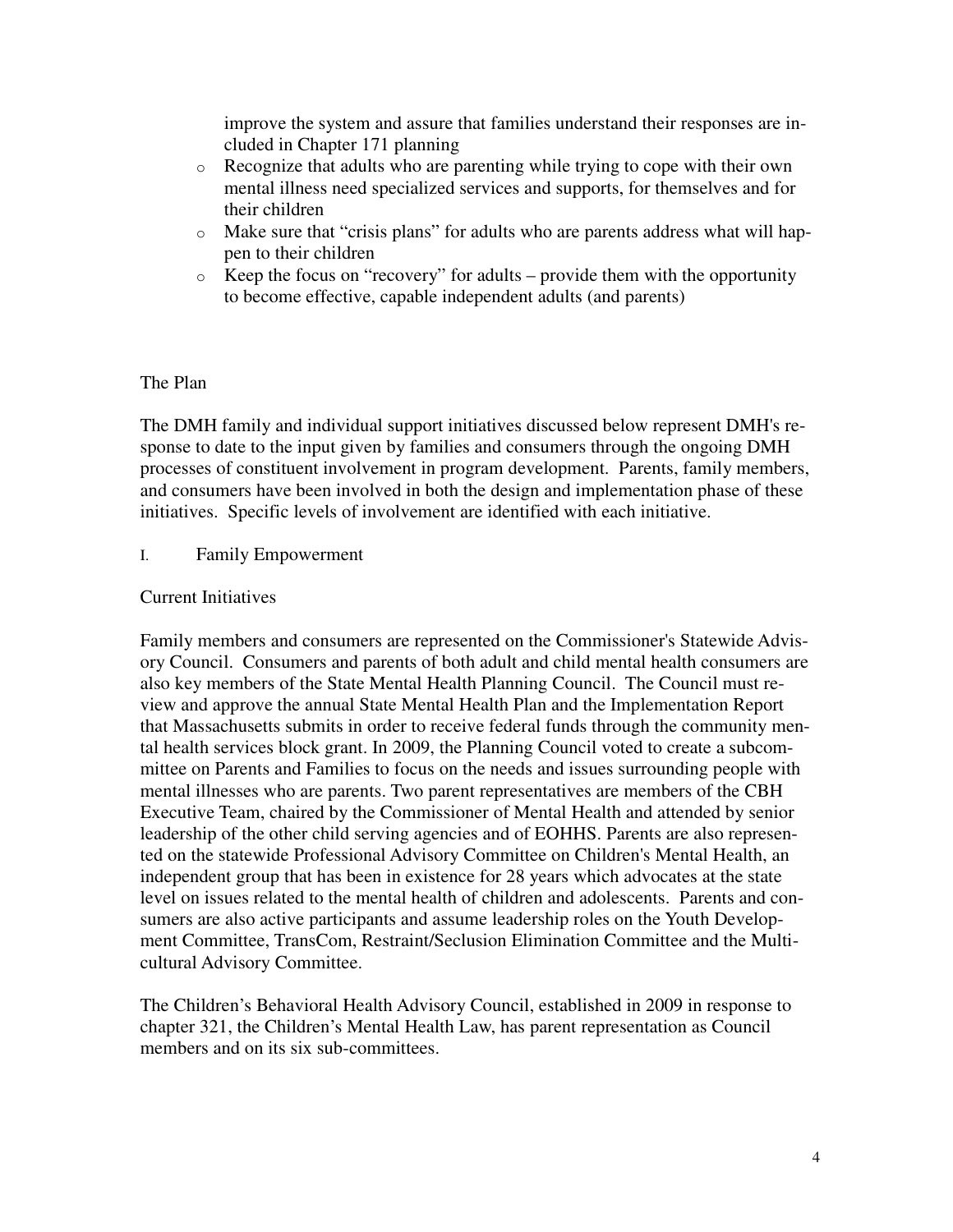improve the system and assure that families understand their responses are included in Chapter 171 planning

- o Recognize that adults who are parenting while trying to cope with their own mental illness need specialized services and supports, for themselves and for their children
- o Make sure that "crisis plans" for adults who are parents address what will happen to their children
- o Keep the focus on "recovery" for adults provide them with the opportunity to become effective, capable independent adults (and parents)

## The Plan

The DMH family and individual support initiatives discussed below represent DMH's response to date to the input given by families and consumers through the ongoing DMH processes of constituent involvement in program development. Parents, family members, and consumers have been involved in both the design and implementation phase of these initiatives. Specific levels of involvement are identified with each initiative.

## I. Family Empowerment

## Current Initiatives

Family members and consumers are represented on the Commissioner's Statewide Advisory Council. Consumers and parents of both adult and child mental health consumers are also key members of the State Mental Health Planning Council. The Council must review and approve the annual State Mental Health Plan and the Implementation Report that Massachusetts submits in order to receive federal funds through the community mental health services block grant. In 2009, the Planning Council voted to create a subcommittee on Parents and Families to focus on the needs and issues surrounding people with mental illnesses who are parents. Two parent representatives are members of the CBH Executive Team, chaired by the Commissioner of Mental Health and attended by senior leadership of the other child serving agencies and of EOHHS. Parents are also represented on the statewide Professional Advisory Committee on Children's Mental Health, an independent group that has been in existence for 28 years which advocates at the state level on issues related to the mental health of children and adolescents. Parents and consumers are also active participants and assume leadership roles on the Youth Development Committee, TransCom, Restraint/Seclusion Elimination Committee and the Multicultural Advisory Committee.

The Children's Behavioral Health Advisory Council, established in 2009 in response to chapter 321, the Children's Mental Health Law, has parent representation as Council members and on its six sub-committees.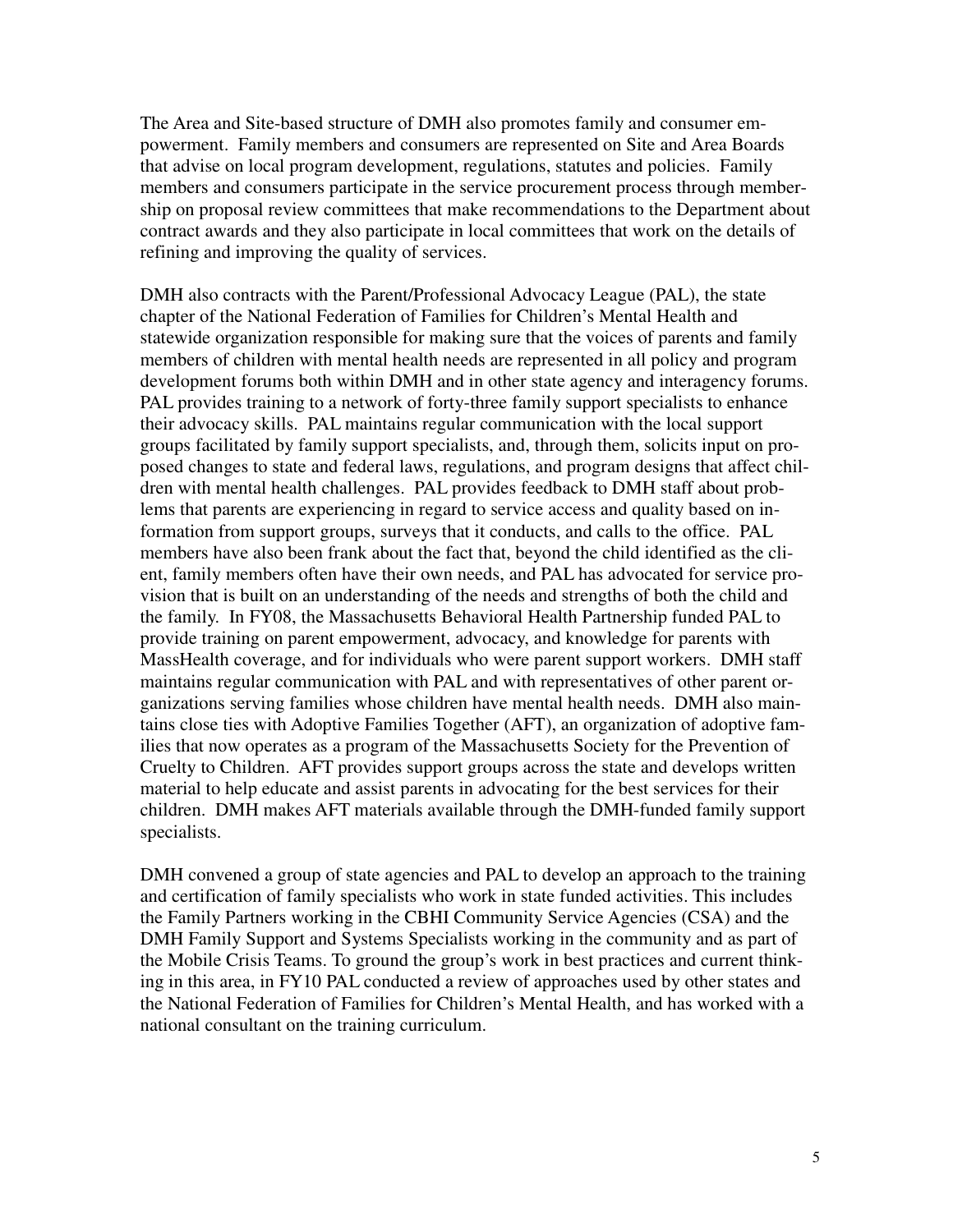The Area and Site-based structure of DMH also promotes family and consumer empowerment. Family members and consumers are represented on Site and Area Boards that advise on local program development, regulations, statutes and policies. Family members and consumers participate in the service procurement process through membership on proposal review committees that make recommendations to the Department about contract awards and they also participate in local committees that work on the details of refining and improving the quality of services.

DMH also contracts with the Parent/Professional Advocacy League (PAL), the state chapter of the National Federation of Families for Children's Mental Health and statewide organization responsible for making sure that the voices of parents and family members of children with mental health needs are represented in all policy and program development forums both within DMH and in other state agency and interagency forums. PAL provides training to a network of forty-three family support specialists to enhance their advocacy skills. PAL maintains regular communication with the local support groups facilitated by family support specialists, and, through them, solicits input on proposed changes to state and federal laws, regulations, and program designs that affect children with mental health challenges. PAL provides feedback to DMH staff about problems that parents are experiencing in regard to service access and quality based on information from support groups, surveys that it conducts, and calls to the office. PAL members have also been frank about the fact that, beyond the child identified as the client, family members often have their own needs, and PAL has advocated for service provision that is built on an understanding of the needs and strengths of both the child and the family. In FY08, the Massachusetts Behavioral Health Partnership funded PAL to provide training on parent empowerment, advocacy, and knowledge for parents with MassHealth coverage, and for individuals who were parent support workers. DMH staff maintains regular communication with PAL and with representatives of other parent organizations serving families whose children have mental health needs. DMH also maintains close ties with Adoptive Families Together (AFT), an organization of adoptive families that now operates as a program of the Massachusetts Society for the Prevention of Cruelty to Children. AFT provides support groups across the state and develops written material to help educate and assist parents in advocating for the best services for their children. DMH makes AFT materials available through the DMH-funded family support specialists.

DMH convened a group of state agencies and PAL to develop an approach to the training and certification of family specialists who work in state funded activities. This includes the Family Partners working in the CBHI Community Service Agencies (CSA) and the DMH Family Support and Systems Specialists working in the community and as part of the Mobile Crisis Teams. To ground the group's work in best practices and current thinking in this area, in FY10 PAL conducted a review of approaches used by other states and the National Federation of Families for Children's Mental Health, and has worked with a national consultant on the training curriculum.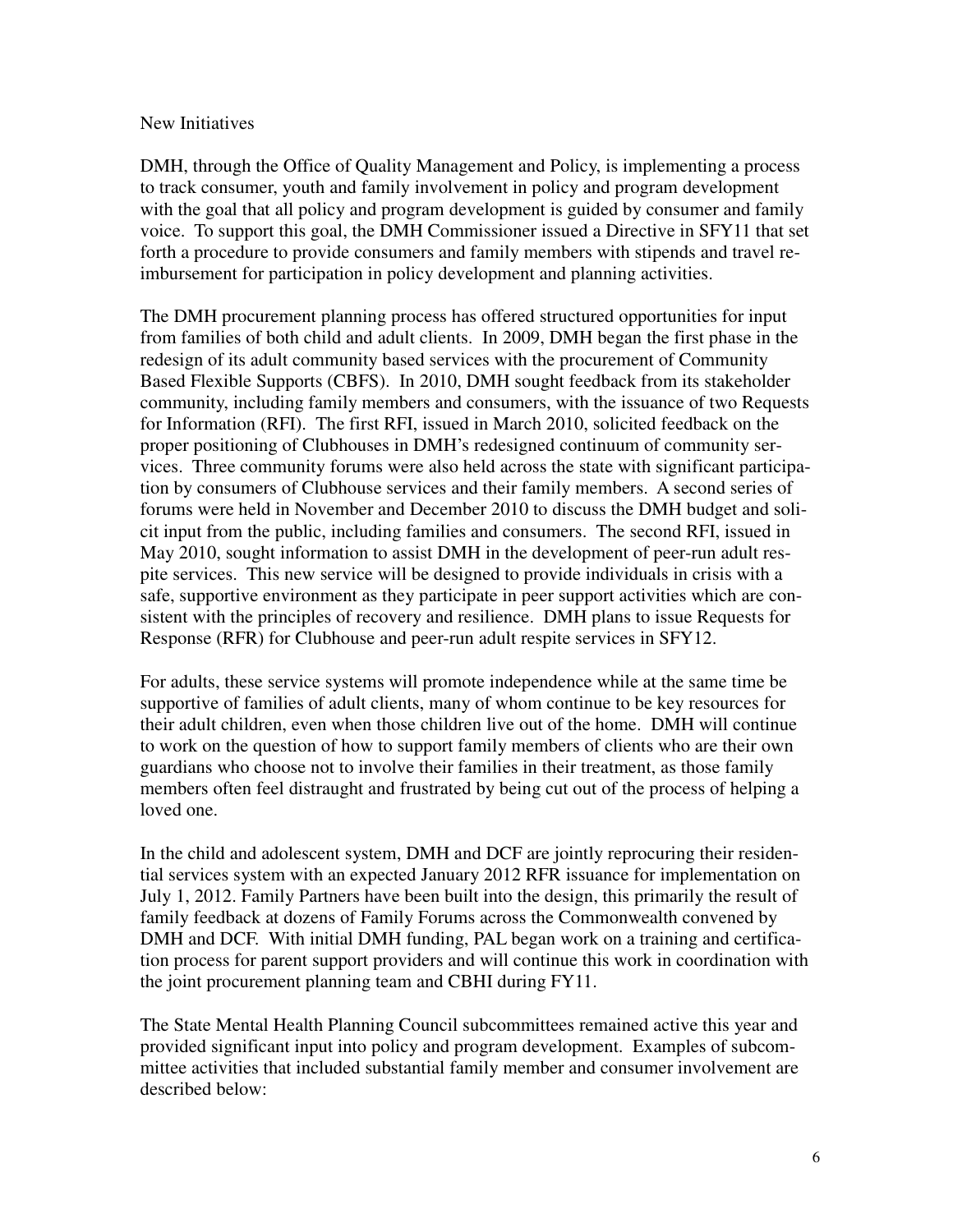#### New Initiatives

DMH, through the Office of Quality Management and Policy, is implementing a process to track consumer, youth and family involvement in policy and program development with the goal that all policy and program development is guided by consumer and family voice. To support this goal, the DMH Commissioner issued a Directive in SFY11 that set forth a procedure to provide consumers and family members with stipends and travel reimbursement for participation in policy development and planning activities.

The DMH procurement planning process has offered structured opportunities for input from families of both child and adult clients. In 2009, DMH began the first phase in the redesign of its adult community based services with the procurement of Community Based Flexible Supports (CBFS). In 2010, DMH sought feedback from its stakeholder community, including family members and consumers, with the issuance of two Requests for Information (RFI). The first RFI, issued in March 2010, solicited feedback on the proper positioning of Clubhouses in DMH's redesigned continuum of community services. Three community forums were also held across the state with significant participation by consumers of Clubhouse services and their family members. A second series of forums were held in November and December 2010 to discuss the DMH budget and solicit input from the public, including families and consumers. The second RFI, issued in May 2010, sought information to assist DMH in the development of peer-run adult respite services. This new service will be designed to provide individuals in crisis with a safe, supportive environment as they participate in peer support activities which are consistent with the principles of recovery and resilience. DMH plans to issue Requests for Response (RFR) for Clubhouse and peer-run adult respite services in SFY12.

For adults, these service systems will promote independence while at the same time be supportive of families of adult clients, many of whom continue to be key resources for their adult children, even when those children live out of the home. DMH will continue to work on the question of how to support family members of clients who are their own guardians who choose not to involve their families in their treatment, as those family members often feel distraught and frustrated by being cut out of the process of helping a loved one.

In the child and adolescent system, DMH and DCF are jointly reprocuring their residential services system with an expected January 2012 RFR issuance for implementation on July 1, 2012. Family Partners have been built into the design, this primarily the result of family feedback at dozens of Family Forums across the Commonwealth convened by DMH and DCF. With initial DMH funding, PAL began work on a training and certification process for parent support providers and will continue this work in coordination with the joint procurement planning team and CBHI during FY11.

The State Mental Health Planning Council subcommittees remained active this year and provided significant input into policy and program development. Examples of subcommittee activities that included substantial family member and consumer involvement are described below: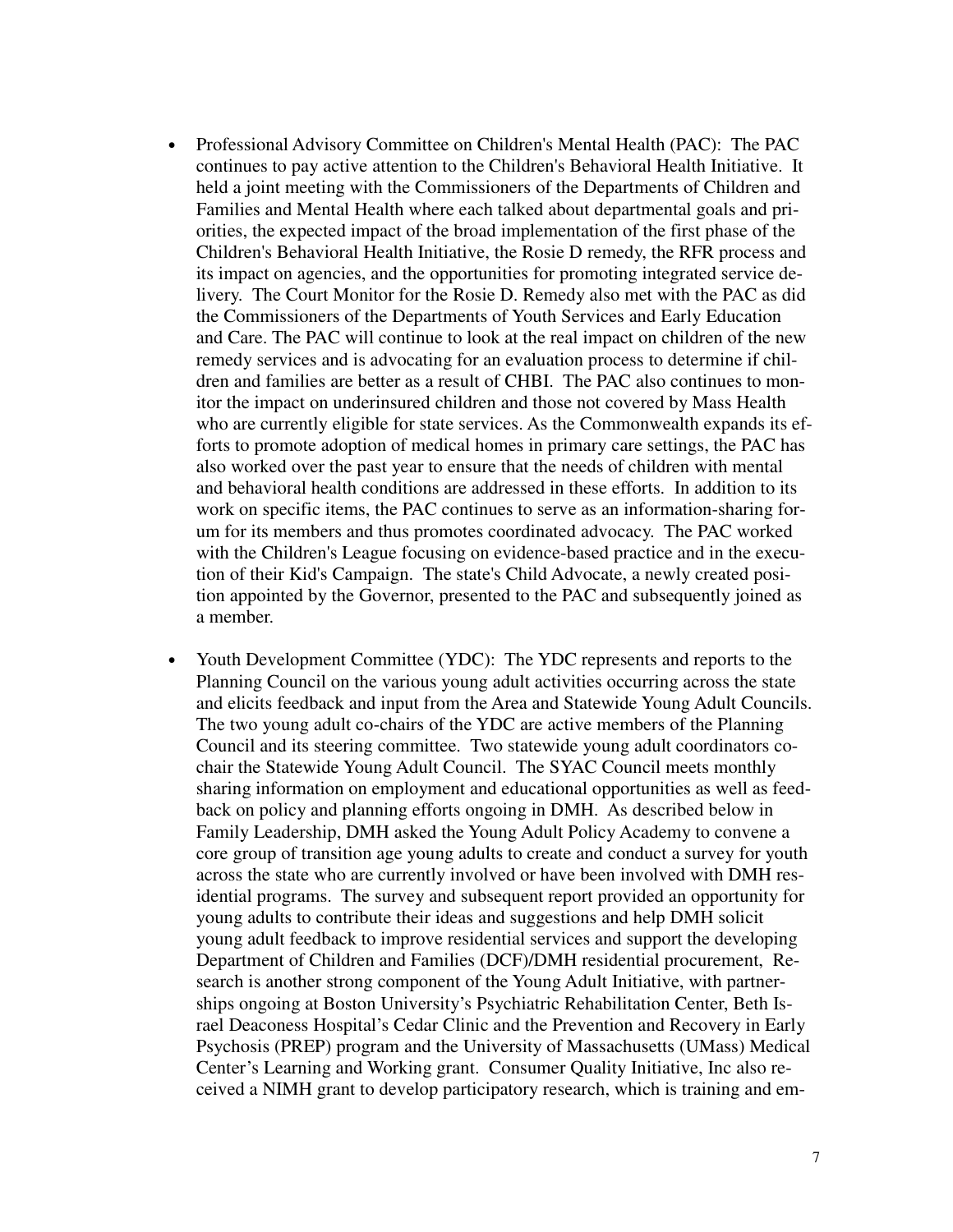- Professional Advisory Committee on Children's Mental Health (PAC): The PAC continues to pay active attention to the Children's Behavioral Health Initiative. It held a joint meeting with the Commissioners of the Departments of Children and Families and Mental Health where each talked about departmental goals and priorities, the expected impact of the broad implementation of the first phase of the Children's Behavioral Health Initiative, the Rosie D remedy, the RFR process and its impact on agencies, and the opportunities for promoting integrated service delivery. The Court Monitor for the Rosie D. Remedy also met with the PAC as did the Commissioners of the Departments of Youth Services and Early Education and Care. The PAC will continue to look at the real impact on children of the new remedy services and is advocating for an evaluation process to determine if children and families are better as a result of CHBI. The PAC also continues to monitor the impact on underinsured children and those not covered by Mass Health who are currently eligible for state services. As the Commonwealth expands its efforts to promote adoption of medical homes in primary care settings, the PAC has also worked over the past year to ensure that the needs of children with mental and behavioral health conditions are addressed in these efforts. In addition to its work on specific items, the PAC continues to serve as an information-sharing forum for its members and thus promotes coordinated advocacy. The PAC worked with the Children's League focusing on evidence-based practice and in the execution of their Kid's Campaign. The state's Child Advocate, a newly created position appointed by the Governor, presented to the PAC and subsequently joined as a member.
- Youth Development Committee (YDC): The YDC represents and reports to the Planning Council on the various young adult activities occurring across the state and elicits feedback and input from the Area and Statewide Young Adult Councils. The two young adult co-chairs of the YDC are active members of the Planning Council and its steering committee. Two statewide young adult coordinators cochair the Statewide Young Adult Council. The SYAC Council meets monthly sharing information on employment and educational opportunities as well as feedback on policy and planning efforts ongoing in DMH. As described below in Family Leadership, DMH asked the Young Adult Policy Academy to convene a core group of transition age young adults to create and conduct a survey for youth across the state who are currently involved or have been involved with DMH residential programs. The survey and subsequent report provided an opportunity for young adults to contribute their ideas and suggestions and help DMH solicit young adult feedback to improve residential services and support the developing Department of Children and Families (DCF)/DMH residential procurement, Research is another strong component of the Young Adult Initiative, with partnerships ongoing at Boston University's Psychiatric Rehabilitation Center, Beth Israel Deaconess Hospital's Cedar Clinic and the Prevention and Recovery in Early Psychosis (PREP) program and the University of Massachusetts (UMass) Medical Center's Learning and Working grant. Consumer Quality Initiative, Inc also received a NIMH grant to develop participatory research, which is training and em-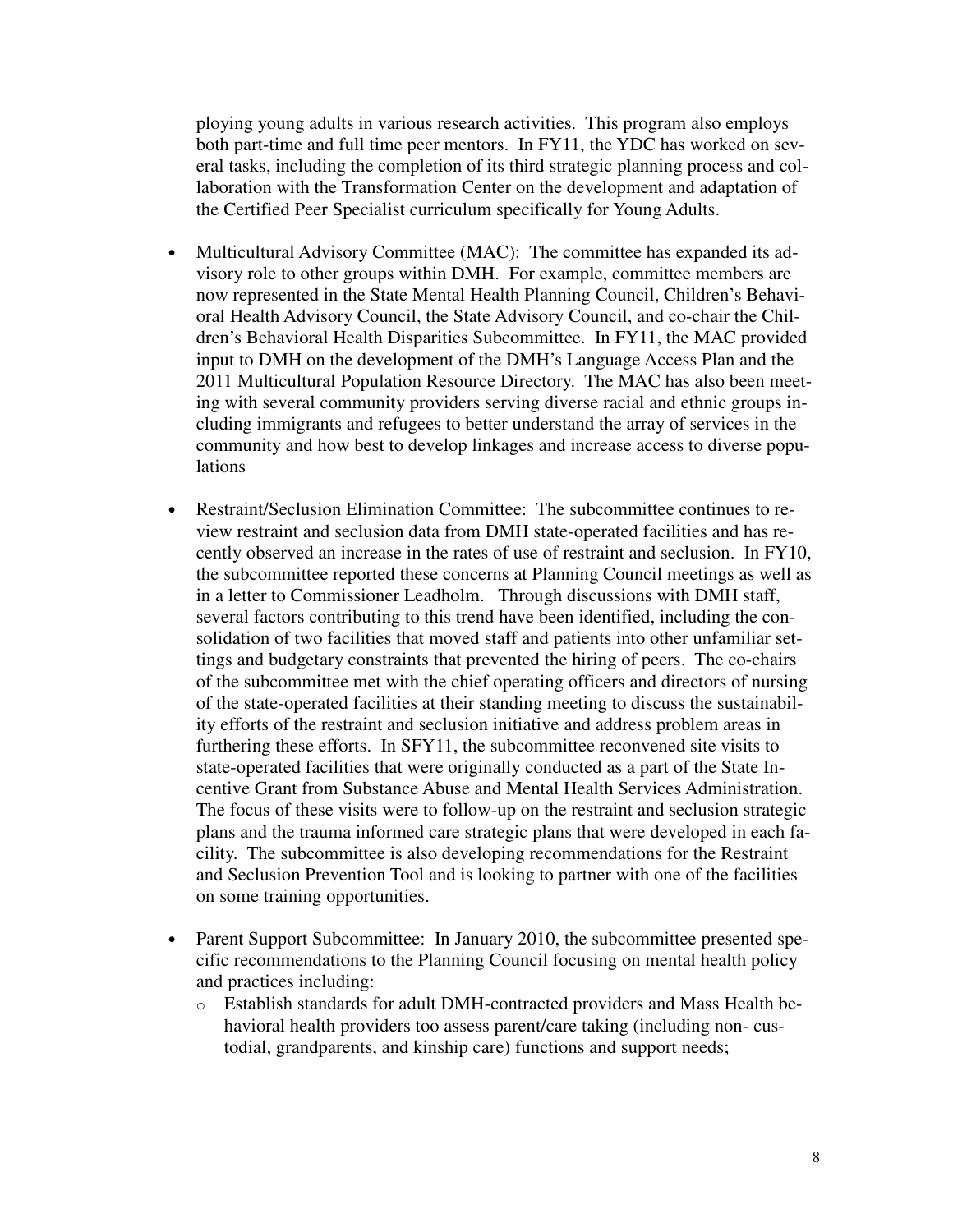ploying young adults in various research activities. This program also employs both part-time and full time peer mentors. In FY11, the YDC has worked on several tasks, including the completion of its third strategic planning process and collaboration with the Transformation Center on the development and adaptation of the Certified Peer Specialist curriculum specifically for Young Adults.

- Multicultural Advisory Committee (MAC): The committee has expanded its advisory role to other groups within DMH. For example, committee members are now represented in the State Mental Health Planning Council, Children's Behavioral Health Advisory Council, the State Advisory Council, and co-chair the Children's Behavioral Health Disparities Subcommittee. In FY11, the MAC provided input to DMH on the development of the DMH's Language Access Plan and the 2011 Multicultural Population Resource Directory. The MAC has also been meeting with several community providers serving diverse racial and ethnic groups including immigrants and refugees to better understand the array of services in the community and how best to develop linkages and increase access to diverse populations
- Restraint/Seclusion Elimination Committee: The subcommittee continues to review restraint and seclusion data from DMH state-operated facilities and has recently observed an increase in the rates of use of restraint and seclusion. In FY10, the subcommittee reported these concerns at Planning Council meetings as well as in a letter to Commissioner Leadholm. Through discussions with DMH staff, several factors contributing to this trend have been identified, including the consolidation of two facilities that moved staff and patients into other unfamiliar settings and budgetary constraints that prevented the hiring of peers. The co-chairs of the subcommittee met with the chief operating officers and directors of nursing of the state-operated facilities at their standing meeting to discuss the sustainability efforts of the restraint and seclusion initiative and address problem areas in furthering these efforts. In SFY11, the subcommittee reconvened site visits to state-operated facilities that were originally conducted as a part of the State Incentive Grant from Substance Abuse and Mental Health Services Administration. The focus of these visits were to follow-up on the restraint and seclusion strategic plans and the trauma informed care strategic plans that were developed in each facility. The subcommittee is also developing recommendations for the Restraint and Seclusion Prevention Tool and is looking to partner with one of the facilities on some training opportunities.
- Parent Support Subcommittee: In January 2010, the subcommittee presented specific recommendations to the Planning Council focusing on mental health policy and practices including:
	- o Establish standards for adult DMH-contracted providers and Mass Health behavioral health providers too assess parent/care taking (including non- custodial, grandparents, and kinship care) functions and support needs;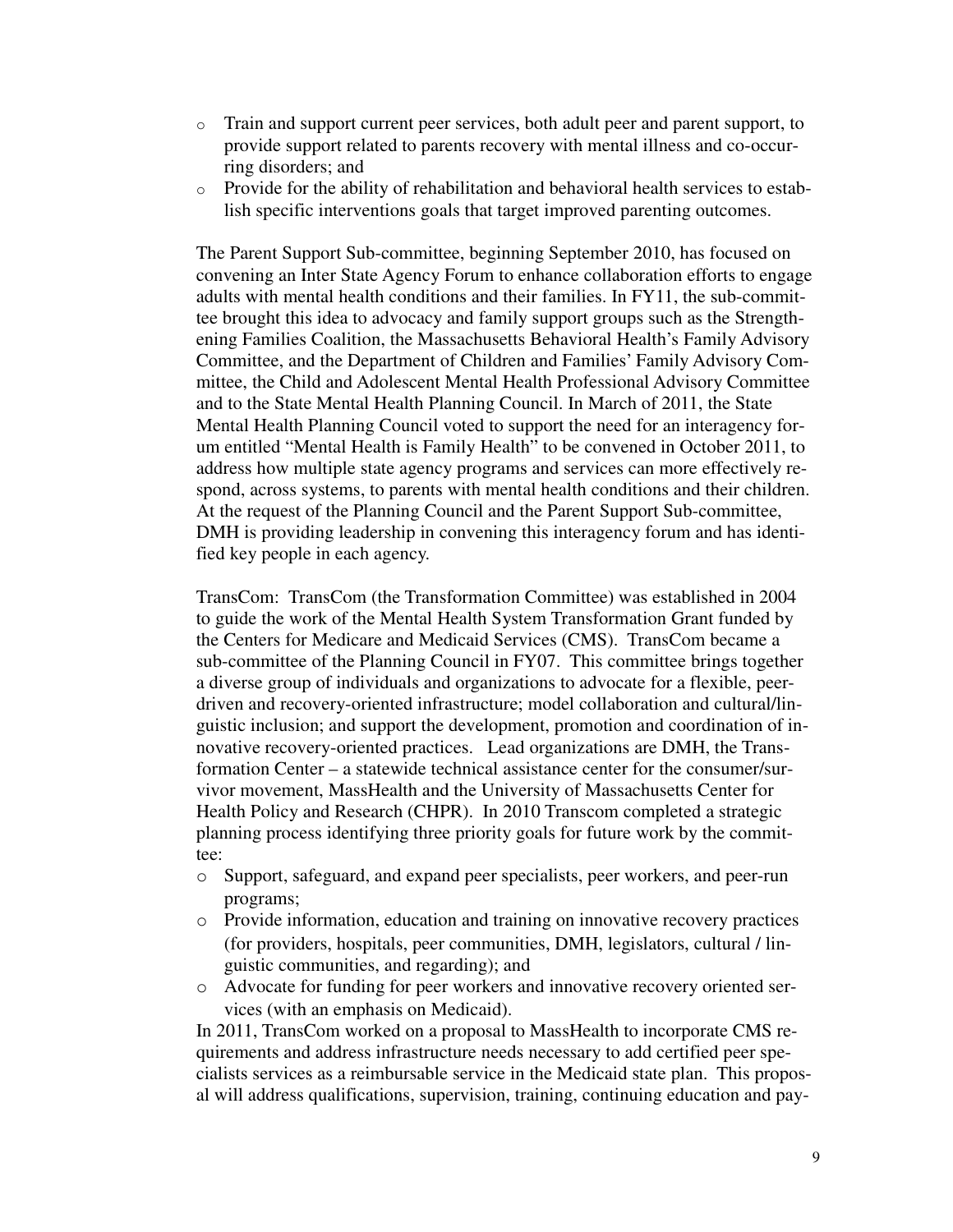- o Train and support current peer services, both adult peer and parent support, to provide support related to parents recovery with mental illness and co-occurring disorders; and
- o Provide for the ability of rehabilitation and behavioral health services to establish specific interventions goals that target improved parenting outcomes.

The Parent Support Sub-committee, beginning September 2010, has focused on convening an Inter State Agency Forum to enhance collaboration efforts to engage adults with mental health conditions and their families. In FY11, the sub-committee brought this idea to advocacy and family support groups such as the Strengthening Families Coalition, the Massachusetts Behavioral Health's Family Advisory Committee, and the Department of Children and Families' Family Advisory Committee, the Child and Adolescent Mental Health Professional Advisory Committee and to the State Mental Health Planning Council. In March of 2011, the State Mental Health Planning Council voted to support the need for an interagency forum entitled "Mental Health is Family Health" to be convened in October 2011, to address how multiple state agency programs and services can more effectively respond, across systems, to parents with mental health conditions and their children. At the request of the Planning Council and the Parent Support Sub-committee, DMH is providing leadership in convening this interagency forum and has identified key people in each agency.

TransCom: TransCom (the Transformation Committee) was established in 2004 to guide the work of the Mental Health System Transformation Grant funded by the Centers for Medicare and Medicaid Services (CMS). TransCom became a sub-committee of the Planning Council in FY07. This committee brings together a diverse group of individuals and organizations to advocate for a flexible, peerdriven and recovery-oriented infrastructure; model collaboration and cultural/linguistic inclusion; and support the development, promotion and coordination of innovative recovery-oriented practices. Lead organizations are DMH, the Transformation Center – a statewide technical assistance center for the consumer/survivor movement, MassHealth and the University of Massachusetts Center for Health Policy and Research (CHPR). In 2010 Transcom completed a strategic planning process identifying three priority goals for future work by the committee:

- o Support, safeguard, and expand peer specialists, peer workers, and peer-run programs;
- o Provide information, education and training on innovative recovery practices (for providers, hospitals, peer communities, DMH, legislators, cultural / linguistic communities, and regarding); and
- o Advocate for funding for peer workers and innovative recovery oriented services (with an emphasis on Medicaid).

In 2011, TransCom worked on a proposal to MassHealth to incorporate CMS requirements and address infrastructure needs necessary to add certified peer specialists services as a reimbursable service in the Medicaid state plan. This proposal will address qualifications, supervision, training, continuing education and pay-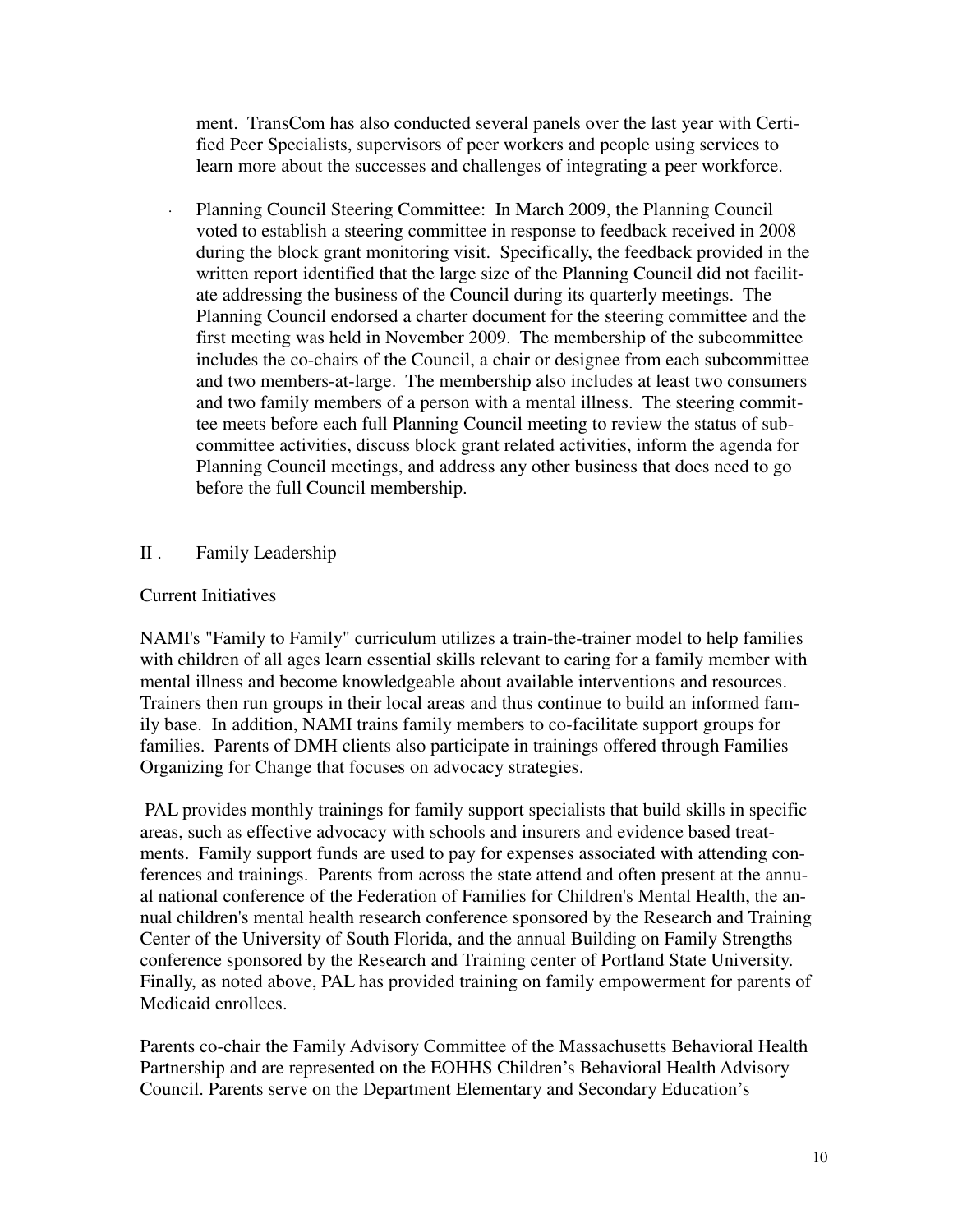ment. TransCom has also conducted several panels over the last year with Certified Peer Specialists, supervisors of peer workers and people using services to learn more about the successes and challenges of integrating a peer workforce.

Planning Council Steering Committee: In March 2009, the Planning Council voted to establish a steering committee in response to feedback received in 2008 during the block grant monitoring visit. Specifically, the feedback provided in the written report identified that the large size of the Planning Council did not facilitate addressing the business of the Council during its quarterly meetings. The Planning Council endorsed a charter document for the steering committee and the first meeting was held in November 2009. The membership of the subcommittee includes the co-chairs of the Council, a chair or designee from each subcommittee and two members-at-large. The membership also includes at least two consumers and two family members of a person with a mental illness. The steering committee meets before each full Planning Council meeting to review the status of subcommittee activities, discuss block grant related activities, inform the agenda for Planning Council meetings, and address any other business that does need to go before the full Council membership.

## II . Family Leadership

## Current Initiatives

NAMI's "Family to Family" curriculum utilizes a train-the-trainer model to help families with children of all ages learn essential skills relevant to caring for a family member with mental illness and become knowledgeable about available interventions and resources. Trainers then run groups in their local areas and thus continue to build an informed family base. In addition, NAMI trains family members to co-facilitate support groups for families. Parents of DMH clients also participate in trainings offered through Families Organizing for Change that focuses on advocacy strategies.

PAL provides monthly trainings for family support specialists that build skills in specific areas, such as effective advocacy with schools and insurers and evidence based treatments. Family support funds are used to pay for expenses associated with attending conferences and trainings. Parents from across the state attend and often present at the annual national conference of the Federation of Families for Children's Mental Health, the annual children's mental health research conference sponsored by the Research and Training Center of the University of South Florida, and the annual Building on Family Strengths conference sponsored by the Research and Training center of Portland State University. Finally, as noted above, PAL has provided training on family empowerment for parents of Medicaid enrollees.

Parents co-chair the Family Advisory Committee of the Massachusetts Behavioral Health Partnership and are represented on the EOHHS Children's Behavioral Health Advisory Council. Parents serve on the Department Elementary and Secondary Education's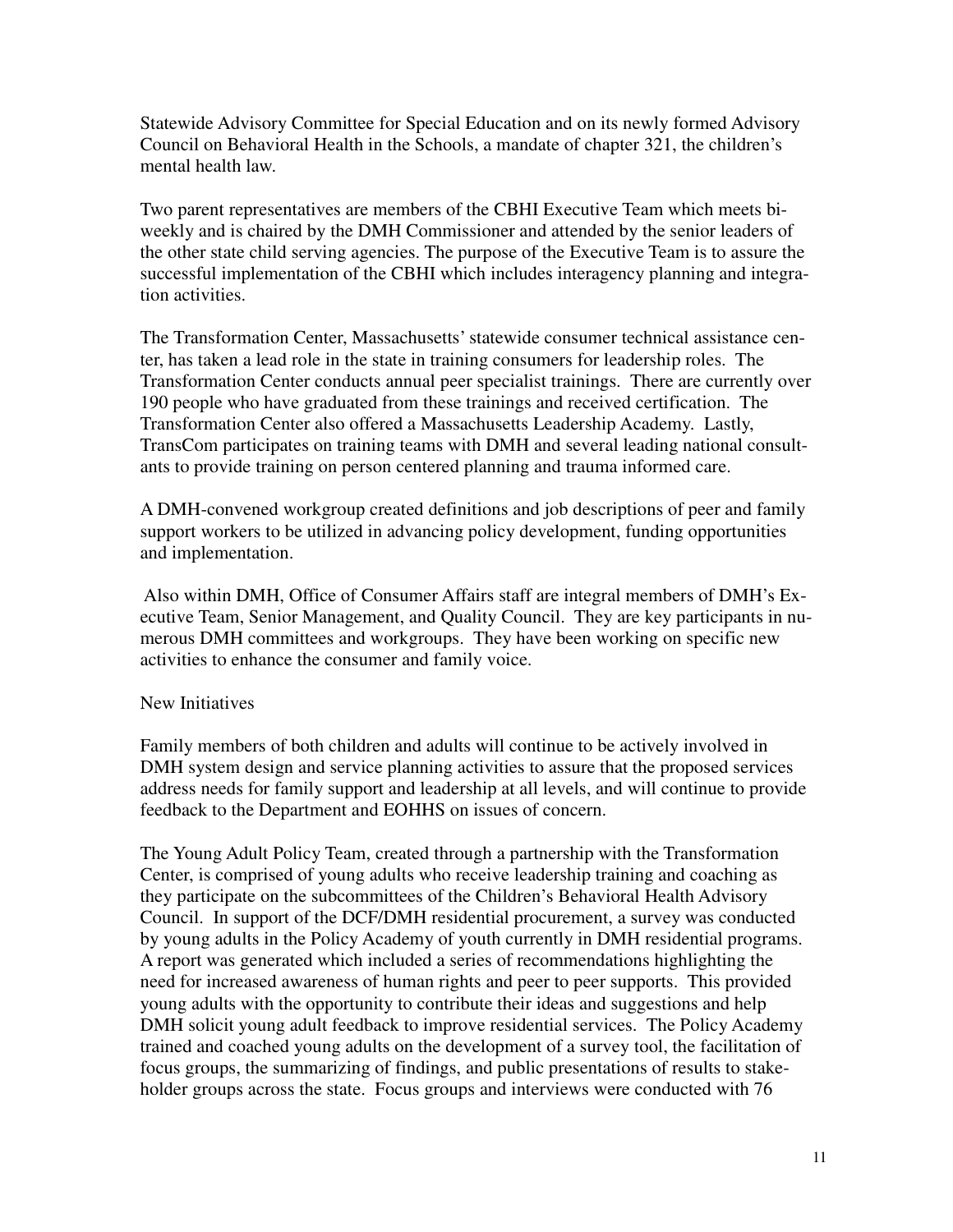Statewide Advisory Committee for Special Education and on its newly formed Advisory Council on Behavioral Health in the Schools, a mandate of chapter 321, the children's mental health law.

Two parent representatives are members of the CBHI Executive Team which meets biweekly and is chaired by the DMH Commissioner and attended by the senior leaders of the other state child serving agencies. The purpose of the Executive Team is to assure the successful implementation of the CBHI which includes interagency planning and integration activities.

The Transformation Center, Massachusetts' statewide consumer technical assistance center, has taken a lead role in the state in training consumers for leadership roles. The Transformation Center conducts annual peer specialist trainings. There are currently over 190 people who have graduated from these trainings and received certification. The Transformation Center also offered a Massachusetts Leadership Academy. Lastly, TransCom participates on training teams with DMH and several leading national consultants to provide training on person centered planning and trauma informed care.

A DMH-convened workgroup created definitions and job descriptions of peer and family support workers to be utilized in advancing policy development, funding opportunities and implementation.

 Also within DMH, Office of Consumer Affairs staff are integral members of DMH's Executive Team, Senior Management, and Quality Council. They are key participants in numerous DMH committees and workgroups. They have been working on specific new activities to enhance the consumer and family voice.

## New Initiatives

Family members of both children and adults will continue to be actively involved in DMH system design and service planning activities to assure that the proposed services address needs for family support and leadership at all levels, and will continue to provide feedback to the Department and EOHHS on issues of concern.

The Young Adult Policy Team, created through a partnership with the Transformation Center, is comprised of young adults who receive leadership training and coaching as they participate on the subcommittees of the Children's Behavioral Health Advisory Council. In support of the DCF/DMH residential procurement, a survey was conducted by young adults in the Policy Academy of youth currently in DMH residential programs. A report was generated which included a series of recommendations highlighting the need for increased awareness of human rights and peer to peer supports. This provided young adults with the opportunity to contribute their ideas and suggestions and help DMH solicit young adult feedback to improve residential services. The Policy Academy trained and coached young adults on the development of a survey tool, the facilitation of focus groups, the summarizing of findings, and public presentations of results to stakeholder groups across the state. Focus groups and interviews were conducted with 76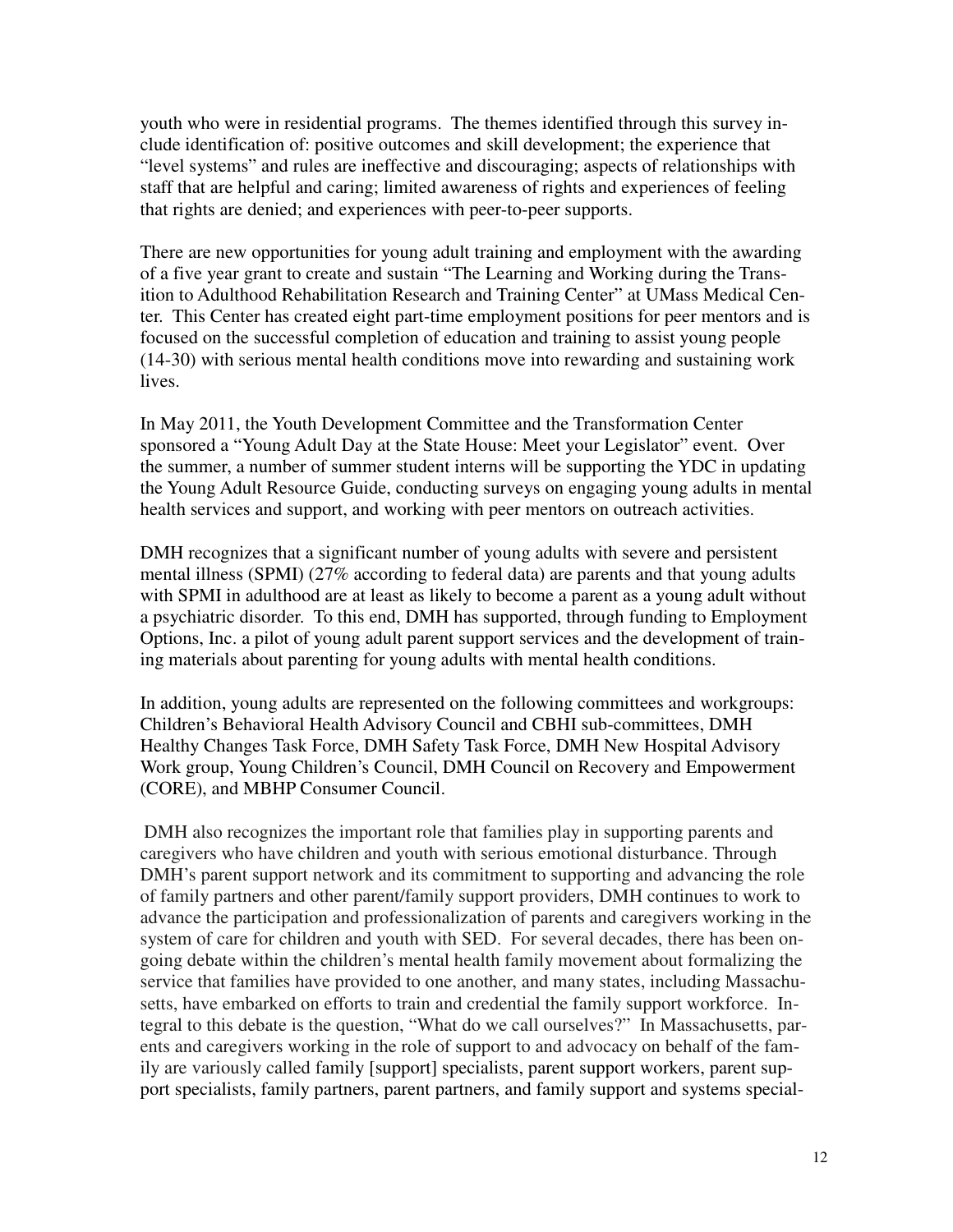youth who were in residential programs. The themes identified through this survey include identification of: positive outcomes and skill development; the experience that "level systems" and rules are ineffective and discouraging; aspects of relationships with staff that are helpful and caring; limited awareness of rights and experiences of feeling that rights are denied; and experiences with peer-to-peer supports.

There are new opportunities for young adult training and employment with the awarding of a five year grant to create and sustain "The Learning and Working during the Transition to Adulthood Rehabilitation Research and Training Center" at UMass Medical Center. This Center has created eight part-time employment positions for peer mentors and is focused on the successful completion of education and training to assist young people (14-30) with serious mental health conditions move into rewarding and sustaining work lives.

In May 2011, the Youth Development Committee and the Transformation Center sponsored a "Young Adult Day at the State House: Meet your Legislator" event. Over the summer, a number of summer student interns will be supporting the YDC in updating the Young Adult Resource Guide, conducting surveys on engaging young adults in mental health services and support, and working with peer mentors on outreach activities.

DMH recognizes that a significant number of young adults with severe and persistent mental illness (SPMI) (27% according to federal data) are parents and that young adults with SPMI in adulthood are at least as likely to become a parent as a young adult without a psychiatric disorder. To this end, DMH has supported, through funding to Employment Options, Inc. a pilot of young adult parent support services and the development of training materials about parenting for young adults with mental health conditions.

In addition, young adults are represented on the following committees and workgroups: Children's Behavioral Health Advisory Council and CBHI sub-committees, DMH Healthy Changes Task Force, DMH Safety Task Force, DMH New Hospital Advisory Work group, Young Children's Council, DMH Council on Recovery and Empowerment (CORE), and MBHP Consumer Council.

DMH also recognizes the important role that families play in supporting parents and caregivers who have children and youth with serious emotional disturbance. Through DMH's parent support network and its commitment to supporting and advancing the role of family partners and other parent/family support providers, DMH continues to work to advance the participation and professionalization of parents and caregivers working in the system of care for children and youth with SED. For several decades, there has been ongoing debate within the children's mental health family movement about formalizing the service that families have provided to one another, and many states, including Massachusetts, have embarked on efforts to train and credential the family support workforce. Integral to this debate is the question, "What do we call ourselves?" In Massachusetts, parents and caregivers working in the role of support to and advocacy on behalf of the family are variously called family [support] specialists, parent support workers, parent support specialists, family partners, parent partners, and family support and systems special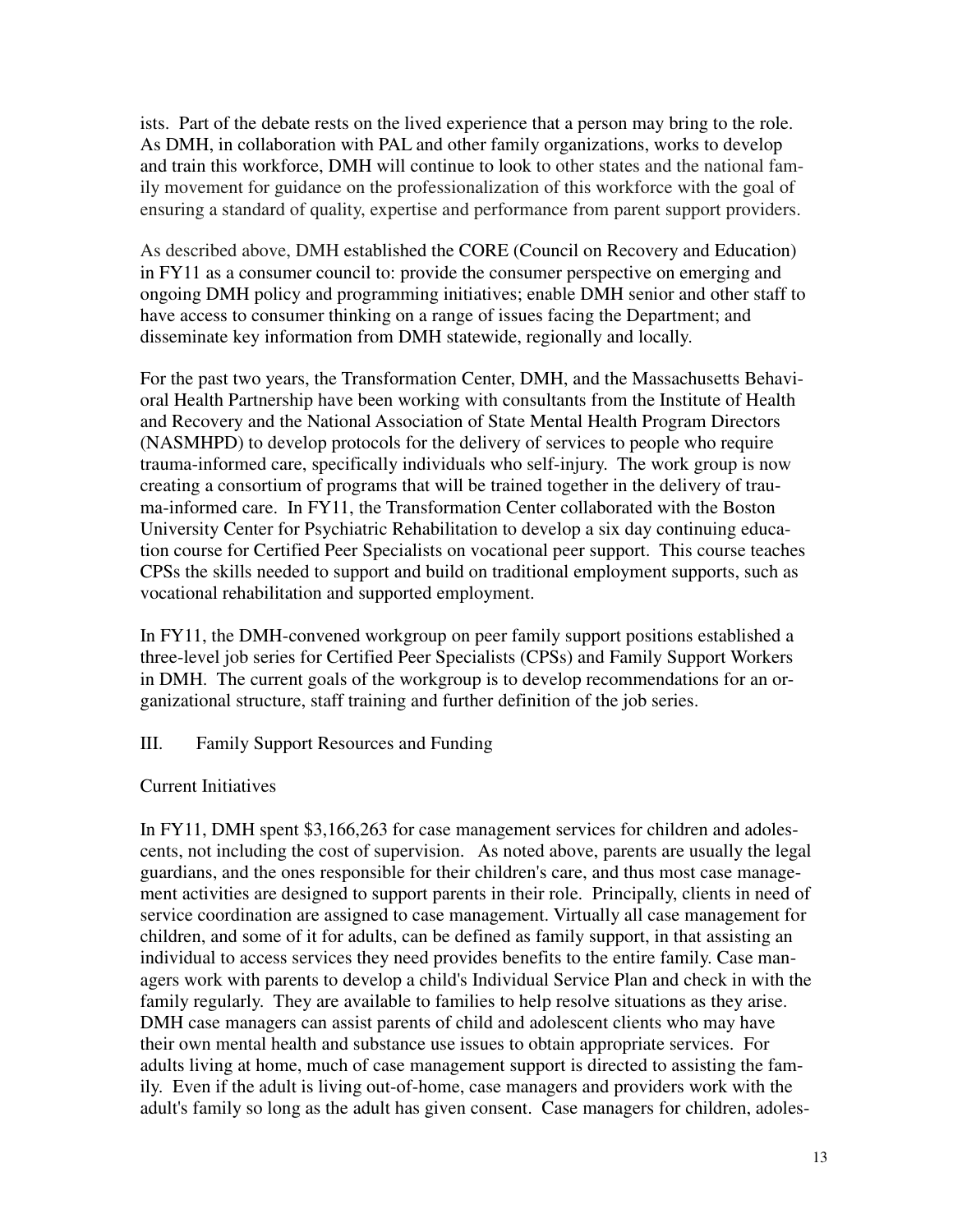ists. Part of the debate rests on the lived experience that a person may bring to the role. As DMH, in collaboration with PAL and other family organizations, works to develop and train this workforce, DMH will continue to look to other states and the national family movement for guidance on the professionalization of this workforce with the goal of ensuring a standard of quality, expertise and performance from parent support providers.

As described above, DMH established the CORE (Council on Recovery and Education) in FY11 as a consumer council to: provide the consumer perspective on emerging and ongoing DMH policy and programming initiatives; enable DMH senior and other staff to have access to consumer thinking on a range of issues facing the Department; and disseminate key information from DMH statewide, regionally and locally.

For the past two years, the Transformation Center, DMH, and the Massachusetts Behavioral Health Partnership have been working with consultants from the Institute of Health and Recovery and the National Association of State Mental Health Program Directors (NASMHPD) to develop protocols for the delivery of services to people who require trauma-informed care, specifically individuals who self-injury. The work group is now creating a consortium of programs that will be trained together in the delivery of trauma-informed care. In FY11, the Transformation Center collaborated with the Boston University Center for Psychiatric Rehabilitation to develop a six day continuing education course for Certified Peer Specialists on vocational peer support. This course teaches CPSs the skills needed to support and build on traditional employment supports, such as vocational rehabilitation and supported employment.

In FY11, the DMH-convened workgroup on peer family support positions established a three-level job series for Certified Peer Specialists (CPSs) and Family Support Workers in DMH. The current goals of the workgroup is to develop recommendations for an organizational structure, staff training and further definition of the job series.

# III. Family Support Resources and Funding

# Current Initiatives

In FY11, DMH spent \$3,166,263 for case management services for children and adolescents, not including the cost of supervision. As noted above, parents are usually the legal guardians, and the ones responsible for their children's care, and thus most case management activities are designed to support parents in their role. Principally, clients in need of service coordination are assigned to case management. Virtually all case management for children, and some of it for adults, can be defined as family support, in that assisting an individual to access services they need provides benefits to the entire family. Case managers work with parents to develop a child's Individual Service Plan and check in with the family regularly. They are available to families to help resolve situations as they arise. DMH case managers can assist parents of child and adolescent clients who may have their own mental health and substance use issues to obtain appropriate services. For adults living at home, much of case management support is directed to assisting the family. Even if the adult is living out-of-home, case managers and providers work with the adult's family so long as the adult has given consent. Case managers for children, adoles-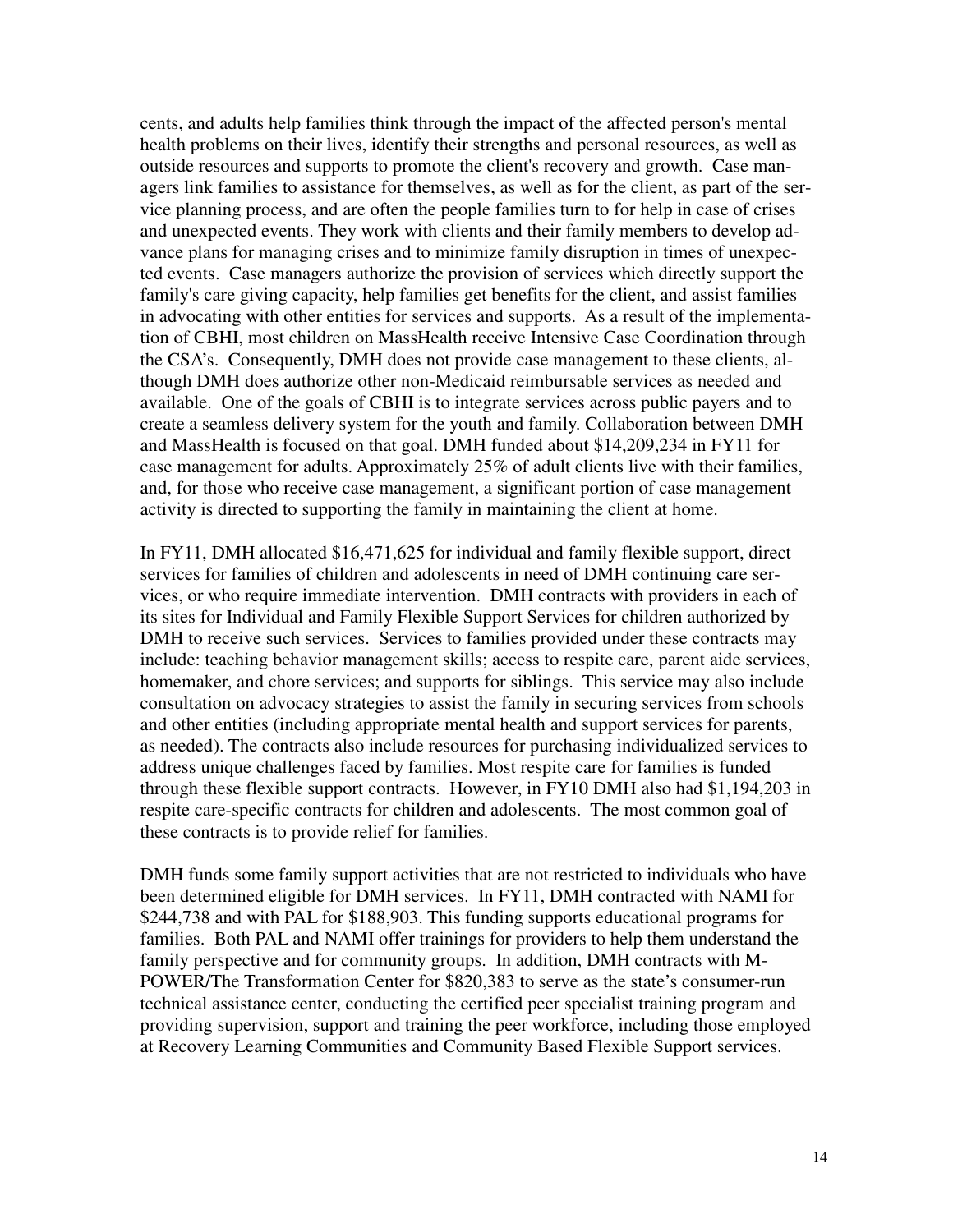cents, and adults help families think through the impact of the affected person's mental health problems on their lives, identify their strengths and personal resources, as well as outside resources and supports to promote the client's recovery and growth. Case managers link families to assistance for themselves, as well as for the client, as part of the service planning process, and are often the people families turn to for help in case of crises and unexpected events. They work with clients and their family members to develop advance plans for managing crises and to minimize family disruption in times of unexpected events. Case managers authorize the provision of services which directly support the family's care giving capacity, help families get benefits for the client, and assist families in advocating with other entities for services and supports. As a result of the implementation of CBHI, most children on MassHealth receive Intensive Case Coordination through the CSA's. Consequently, DMH does not provide case management to these clients, although DMH does authorize other non-Medicaid reimbursable services as needed and available. One of the goals of CBHI is to integrate services across public payers and to create a seamless delivery system for the youth and family. Collaboration between DMH and MassHealth is focused on that goal. DMH funded about \$14,209,234 in FY11 for case management for adults. Approximately 25% of adult clients live with their families, and, for those who receive case management, a significant portion of case management activity is directed to supporting the family in maintaining the client at home.

In FY11, DMH allocated \$16,471,625 for individual and family flexible support, direct services for families of children and adolescents in need of DMH continuing care services, or who require immediate intervention. DMH contracts with providers in each of its sites for Individual and Family Flexible Support Services for children authorized by DMH to receive such services. Services to families provided under these contracts may include: teaching behavior management skills; access to respite care, parent aide services, homemaker, and chore services; and supports for siblings. This service may also include consultation on advocacy strategies to assist the family in securing services from schools and other entities (including appropriate mental health and support services for parents, as needed). The contracts also include resources for purchasing individualized services to address unique challenges faced by families. Most respite care for families is funded through these flexible support contracts. However, in FY10 DMH also had \$1,194,203 in respite care-specific contracts for children and adolescents. The most common goal of these contracts is to provide relief for families.

DMH funds some family support activities that are not restricted to individuals who have been determined eligible for DMH services. In FY11, DMH contracted with NAMI for \$244,738 and with PAL for \$188,903. This funding supports educational programs for families. Both PAL and NAMI offer trainings for providers to help them understand the family perspective and for community groups. In addition, DMH contracts with M-POWER/The Transformation Center for \$820,383 to serve as the state's consumer-run technical assistance center, conducting the certified peer specialist training program and providing supervision, support and training the peer workforce, including those employed at Recovery Learning Communities and Community Based Flexible Support services.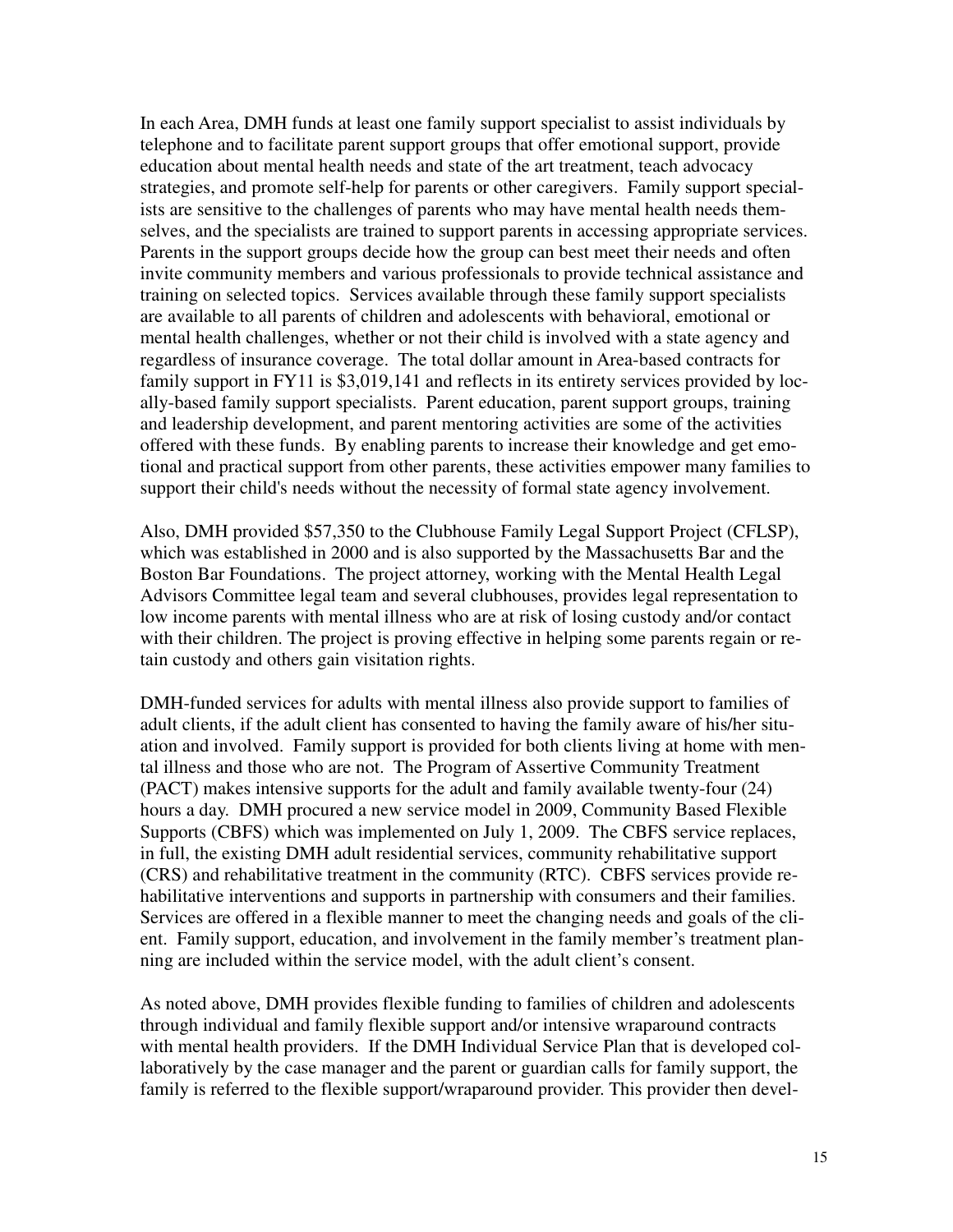In each Area, DMH funds at least one family support specialist to assist individuals by telephone and to facilitate parent support groups that offer emotional support, provide education about mental health needs and state of the art treatment, teach advocacy strategies, and promote self-help for parents or other caregivers. Family support specialists are sensitive to the challenges of parents who may have mental health needs themselves, and the specialists are trained to support parents in accessing appropriate services. Parents in the support groups decide how the group can best meet their needs and often invite community members and various professionals to provide technical assistance and training on selected topics. Services available through these family support specialists are available to all parents of children and adolescents with behavioral, emotional or mental health challenges, whether or not their child is involved with a state agency and regardless of insurance coverage. The total dollar amount in Area-based contracts for family support in FY11 is \$3,019,141 and reflects in its entirety services provided by locally-based family support specialists. Parent education, parent support groups, training and leadership development, and parent mentoring activities are some of the activities offered with these funds. By enabling parents to increase their knowledge and get emotional and practical support from other parents, these activities empower many families to support their child's needs without the necessity of formal state agency involvement.

Also, DMH provided \$57,350 to the Clubhouse Family Legal Support Project (CFLSP), which was established in 2000 and is also supported by the Massachusetts Bar and the Boston Bar Foundations. The project attorney, working with the Mental Health Legal Advisors Committee legal team and several clubhouses, provides legal representation to low income parents with mental illness who are at risk of losing custody and/or contact with their children. The project is proving effective in helping some parents regain or retain custody and others gain visitation rights.

DMH-funded services for adults with mental illness also provide support to families of adult clients, if the adult client has consented to having the family aware of his/her situation and involved. Family support is provided for both clients living at home with mental illness and those who are not. The Program of Assertive Community Treatment (PACT) makes intensive supports for the adult and family available twenty-four (24) hours a day. DMH procured a new service model in 2009, Community Based Flexible Supports (CBFS) which was implemented on July 1, 2009. The CBFS service replaces, in full, the existing DMH adult residential services, community rehabilitative support (CRS) and rehabilitative treatment in the community (RTC). CBFS services provide rehabilitative interventions and supports in partnership with consumers and their families. Services are offered in a flexible manner to meet the changing needs and goals of the client. Family support, education, and involvement in the family member's treatment planning are included within the service model, with the adult client's consent.

As noted above, DMH provides flexible funding to families of children and adolescents through individual and family flexible support and/or intensive wraparound contracts with mental health providers. If the DMH Individual Service Plan that is developed collaboratively by the case manager and the parent or guardian calls for family support, the family is referred to the flexible support/wraparound provider. This provider then devel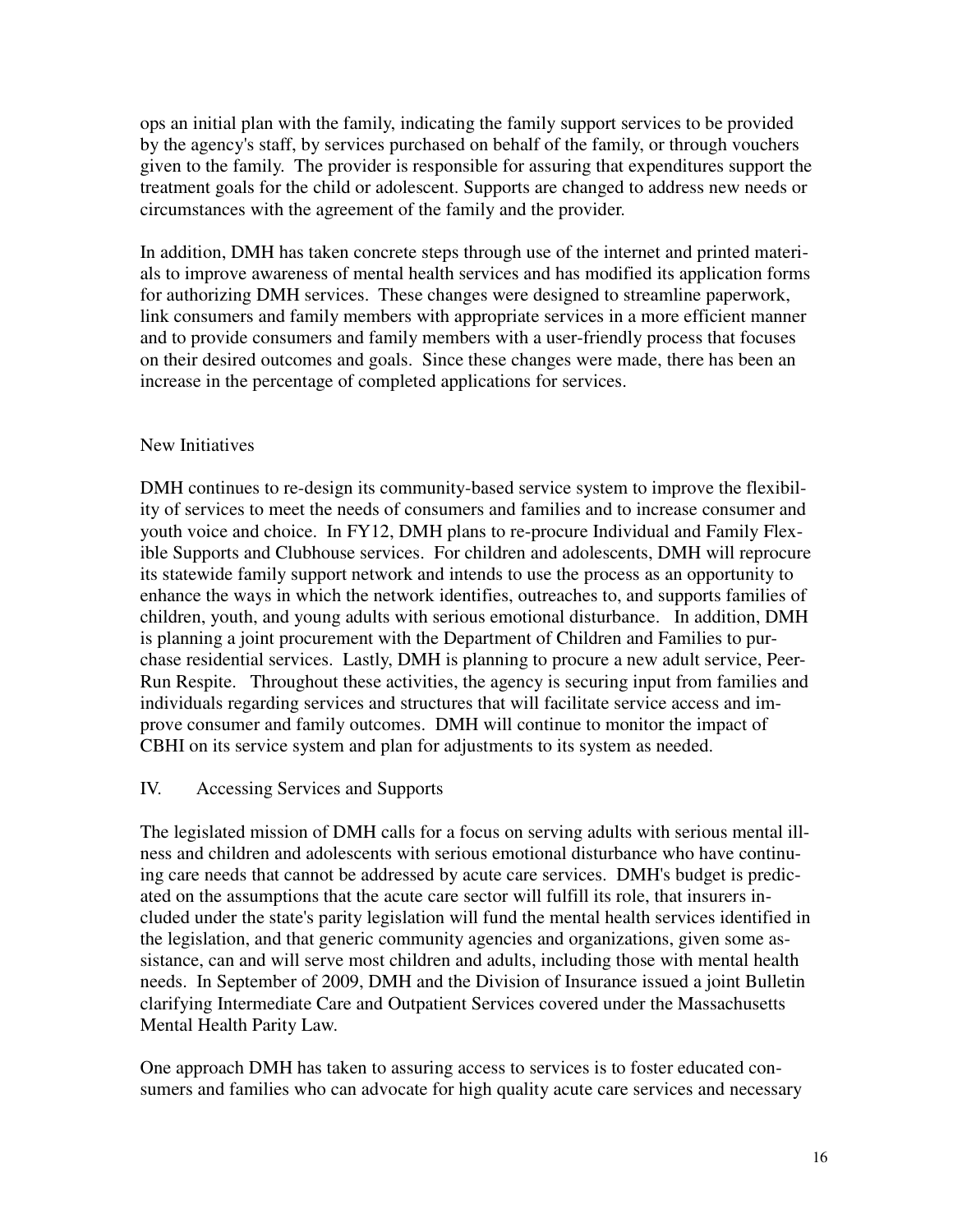ops an initial plan with the family, indicating the family support services to be provided by the agency's staff, by services purchased on behalf of the family, or through vouchers given to the family. The provider is responsible for assuring that expenditures support the treatment goals for the child or adolescent. Supports are changed to address new needs or circumstances with the agreement of the family and the provider.

In addition, DMH has taken concrete steps through use of the internet and printed materials to improve awareness of mental health services and has modified its application forms for authorizing DMH services. These changes were designed to streamline paperwork, link consumers and family members with appropriate services in a more efficient manner and to provide consumers and family members with a user-friendly process that focuses on their desired outcomes and goals. Since these changes were made, there has been an increase in the percentage of completed applications for services.

#### New Initiatives

DMH continues to re-design its community-based service system to improve the flexibility of services to meet the needs of consumers and families and to increase consumer and youth voice and choice. In FY12, DMH plans to re-procure Individual and Family Flexible Supports and Clubhouse services. For children and adolescents, DMH will reprocure its statewide family support network and intends to use the process as an opportunity to enhance the ways in which the network identifies, outreaches to, and supports families of children, youth, and young adults with serious emotional disturbance. In addition, DMH is planning a joint procurement with the Department of Children and Families to purchase residential services. Lastly, DMH is planning to procure a new adult service, Peer-Run Respite. Throughout these activities, the agency is securing input from families and individuals regarding services and structures that will facilitate service access and improve consumer and family outcomes. DMH will continue to monitor the impact of CBHI on its service system and plan for adjustments to its system as needed.

#### IV. Accessing Services and Supports

The legislated mission of DMH calls for a focus on serving adults with serious mental illness and children and adolescents with serious emotional disturbance who have continuing care needs that cannot be addressed by acute care services. DMH's budget is predicated on the assumptions that the acute care sector will fulfill its role, that insurers included under the state's parity legislation will fund the mental health services identified in the legislation, and that generic community agencies and organizations, given some assistance, can and will serve most children and adults, including those with mental health needs. In September of 2009, DMH and the Division of Insurance issued a joint Bulletin clarifying Intermediate Care and Outpatient Services covered under the Massachusetts Mental Health Parity Law.

One approach DMH has taken to assuring access to services is to foster educated consumers and families who can advocate for high quality acute care services and necessary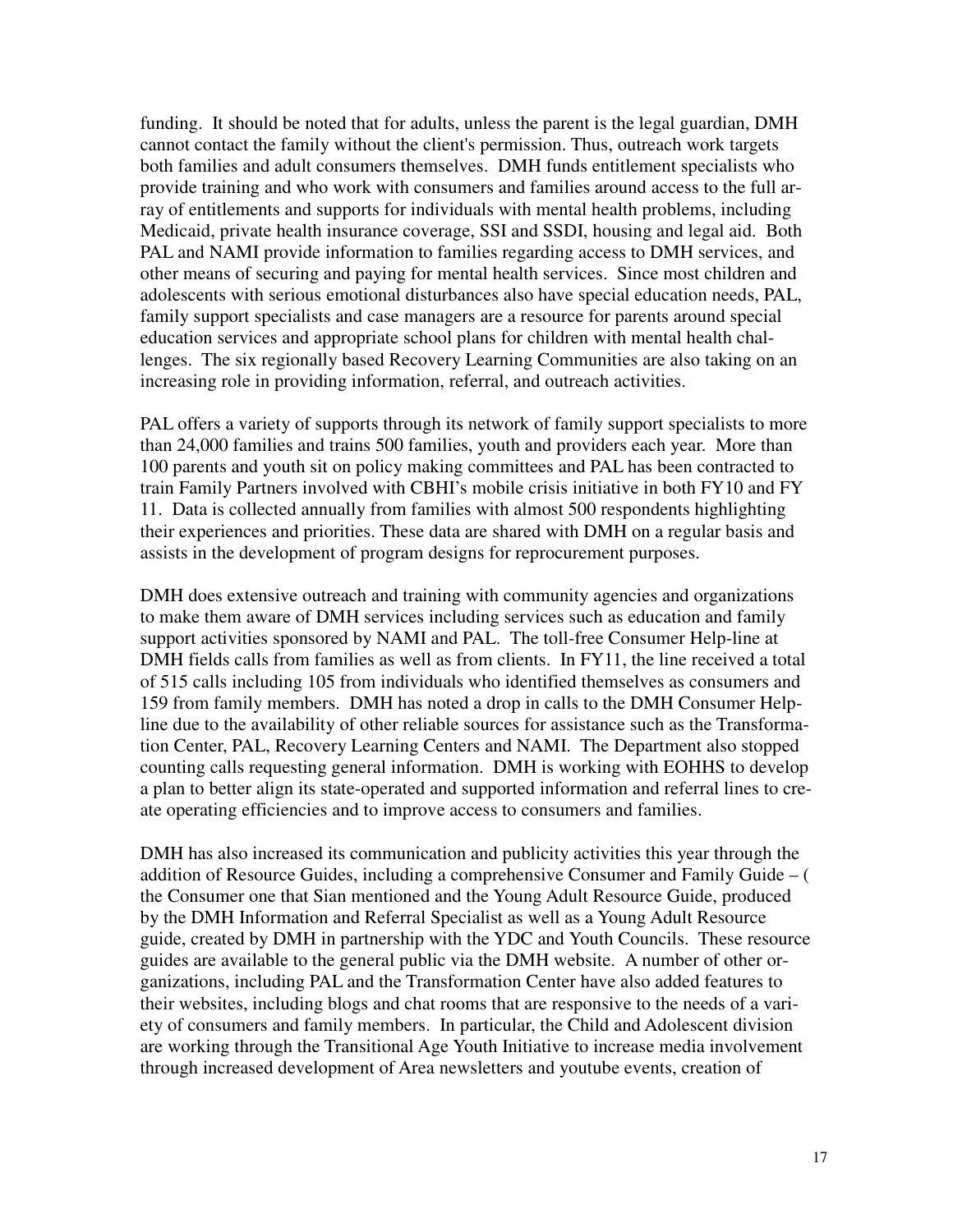funding. It should be noted that for adults, unless the parent is the legal guardian, DMH cannot contact the family without the client's permission. Thus, outreach work targets both families and adult consumers themselves. DMH funds entitlement specialists who provide training and who work with consumers and families around access to the full array of entitlements and supports for individuals with mental health problems, including Medicaid, private health insurance coverage, SSI and SSDI, housing and legal aid. Both PAL and NAMI provide information to families regarding access to DMH services, and other means of securing and paying for mental health services. Since most children and adolescents with serious emotional disturbances also have special education needs, PAL, family support specialists and case managers are a resource for parents around special education services and appropriate school plans for children with mental health challenges. The six regionally based Recovery Learning Communities are also taking on an increasing role in providing information, referral, and outreach activities.

PAL offers a variety of supports through its network of family support specialists to more than 24,000 families and trains 500 families, youth and providers each year. More than 100 parents and youth sit on policy making committees and PAL has been contracted to train Family Partners involved with CBHI's mobile crisis initiative in both FY10 and FY 11. Data is collected annually from families with almost 500 respondents highlighting their experiences and priorities. These data are shared with DMH on a regular basis and assists in the development of program designs for reprocurement purposes.

DMH does extensive outreach and training with community agencies and organizations to make them aware of DMH services including services such as education and family support activities sponsored by NAMI and PAL. The toll-free Consumer Help-line at DMH fields calls from families as well as from clients. In FY11, the line received a total of 515 calls including 105 from individuals who identified themselves as consumers and 159 from family members. DMH has noted a drop in calls to the DMH Consumer Helpline due to the availability of other reliable sources for assistance such as the Transformation Center, PAL, Recovery Learning Centers and NAMI. The Department also stopped counting calls requesting general information. DMH is working with EOHHS to develop a plan to better align its state-operated and supported information and referral lines to create operating efficiencies and to improve access to consumers and families.

DMH has also increased its communication and publicity activities this year through the addition of Resource Guides, including a comprehensive Consumer and Family Guide – ( the Consumer one that Sian mentioned and the Young Adult Resource Guide, produced by the DMH Information and Referral Specialist as well as a Young Adult Resource guide, created by DMH in partnership with the YDC and Youth Councils. These resource guides are available to the general public via the DMH website. A number of other organizations, including PAL and the Transformation Center have also added features to their websites, including blogs and chat rooms that are responsive to the needs of a variety of consumers and family members. In particular, the Child and Adolescent division are working through the Transitional Age Youth Initiative to increase media involvement through increased development of Area newsletters and youtube events, creation of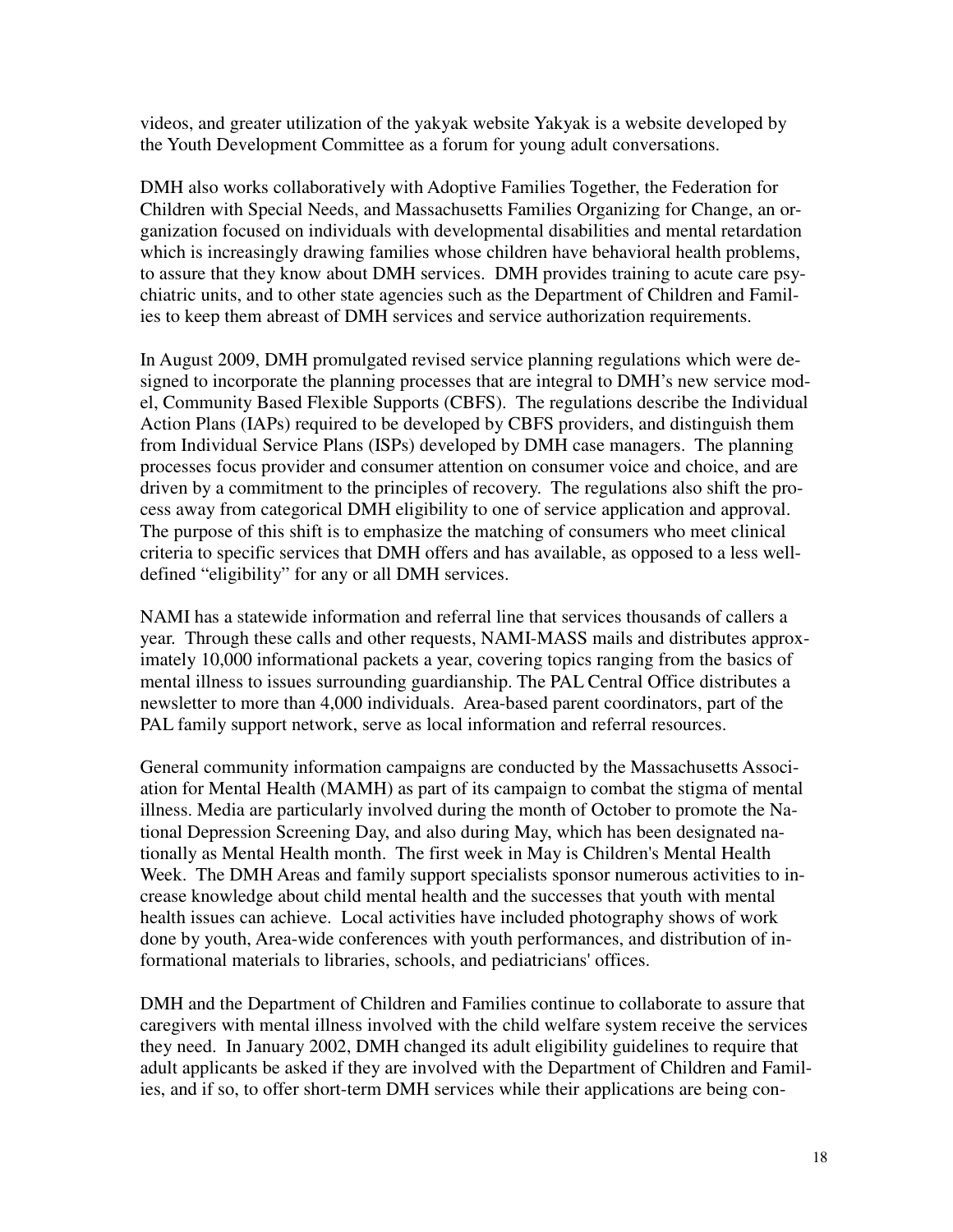videos, and greater utilization of the yakyak website Yakyak is a website developed by the Youth Development Committee as a forum for young adult conversations.

DMH also works collaboratively with Adoptive Families Together, the Federation for Children with Special Needs, and Massachusetts Families Organizing for Change, an organization focused on individuals with developmental disabilities and mental retardation which is increasingly drawing families whose children have behavioral health problems, to assure that they know about DMH services. DMH provides training to acute care psychiatric units, and to other state agencies such as the Department of Children and Families to keep them abreast of DMH services and service authorization requirements.

In August 2009, DMH promulgated revised service planning regulations which were designed to incorporate the planning processes that are integral to DMH's new service model, Community Based Flexible Supports (CBFS). The regulations describe the Individual Action Plans (IAPs) required to be developed by CBFS providers, and distinguish them from Individual Service Plans (ISPs) developed by DMH case managers. The planning processes focus provider and consumer attention on consumer voice and choice, and are driven by a commitment to the principles of recovery. The regulations also shift the process away from categorical DMH eligibility to one of service application and approval. The purpose of this shift is to emphasize the matching of consumers who meet clinical criteria to specific services that DMH offers and has available, as opposed to a less welldefined "eligibility" for any or all DMH services.

NAMI has a statewide information and referral line that services thousands of callers a year. Through these calls and other requests, NAMI-MASS mails and distributes approximately 10,000 informational packets a year, covering topics ranging from the basics of mental illness to issues surrounding guardianship. The PAL Central Office distributes a newsletter to more than 4,000 individuals. Area-based parent coordinators, part of the PAL family support network, serve as local information and referral resources.

General community information campaigns are conducted by the Massachusetts Association for Mental Health (MAMH) as part of its campaign to combat the stigma of mental illness. Media are particularly involved during the month of October to promote the National Depression Screening Day, and also during May, which has been designated nationally as Mental Health month. The first week in May is Children's Mental Health Week. The DMH Areas and family support specialists sponsor numerous activities to increase knowledge about child mental health and the successes that youth with mental health issues can achieve. Local activities have included photography shows of work done by youth, Area-wide conferences with youth performances, and distribution of informational materials to libraries, schools, and pediatricians' offices.

DMH and the Department of Children and Families continue to collaborate to assure that caregivers with mental illness involved with the child welfare system receive the services they need. In January 2002, DMH changed its adult eligibility guidelines to require that adult applicants be asked if they are involved with the Department of Children and Families, and if so, to offer short-term DMH services while their applications are being con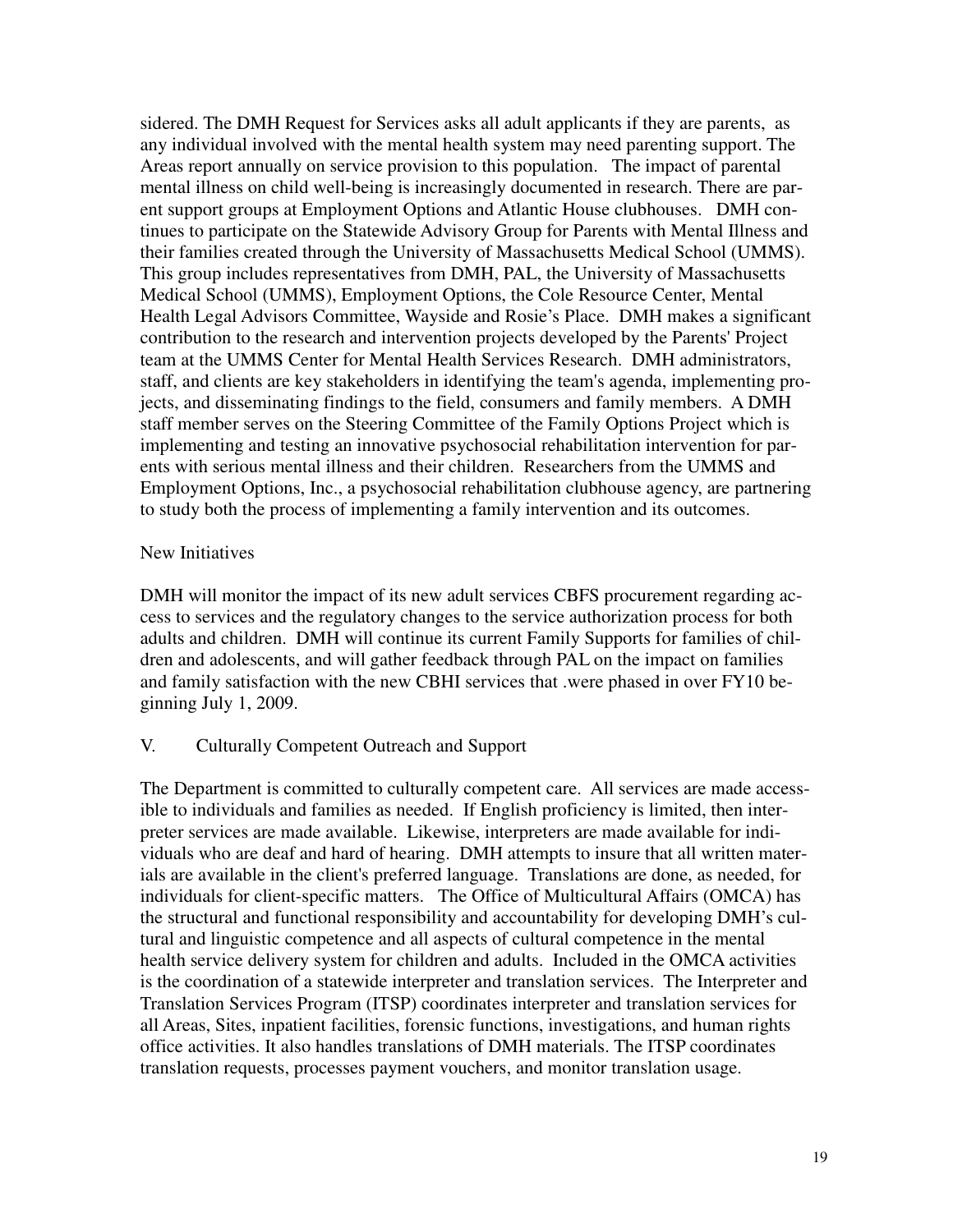sidered. The DMH Request for Services asks all adult applicants if they are parents, as any individual involved with the mental health system may need parenting support. The Areas report annually on service provision to this population. The impact of parental mental illness on child well-being is increasingly documented in research. There are parent support groups at Employment Options and Atlantic House clubhouses. DMH continues to participate on the Statewide Advisory Group for Parents with Mental Illness and their families created through the University of Massachusetts Medical School (UMMS). This group includes representatives from DMH, PAL, the University of Massachusetts Medical School (UMMS), Employment Options, the Cole Resource Center, Mental Health Legal Advisors Committee, Wayside and Rosie's Place. DMH makes a significant contribution to the research and intervention projects developed by the Parents' Project team at the UMMS Center for Mental Health Services Research. DMH administrators, staff, and clients are key stakeholders in identifying the team's agenda, implementing projects, and disseminating findings to the field, consumers and family members. A DMH staff member serves on the Steering Committee of the Family Options Project which is implementing and testing an innovative psychosocial rehabilitation intervention for parents with serious mental illness and their children. Researchers from the UMMS and Employment Options, Inc., a psychosocial rehabilitation clubhouse agency, are partnering to study both the process of implementing a family intervention and its outcomes.

## New Initiatives

DMH will monitor the impact of its new adult services CBFS procurement regarding access to services and the regulatory changes to the service authorization process for both adults and children. DMH will continue its current Family Supports for families of children and adolescents, and will gather feedback through PAL on the impact on families and family satisfaction with the new CBHI services that .were phased in over FY10 beginning July 1, 2009.

# V. Culturally Competent Outreach and Support

The Department is committed to culturally competent care. All services are made accessible to individuals and families as needed. If English proficiency is limited, then interpreter services are made available. Likewise, interpreters are made available for individuals who are deaf and hard of hearing. DMH attempts to insure that all written materials are available in the client's preferred language. Translations are done, as needed, for individuals for client-specific matters. The Office of Multicultural Affairs (OMCA) has the structural and functional responsibility and accountability for developing DMH's cultural and linguistic competence and all aspects of cultural competence in the mental health service delivery system for children and adults. Included in the OMCA activities is the coordination of a statewide interpreter and translation services. The Interpreter and Translation Services Program (ITSP) coordinates interpreter and translation services for all Areas, Sites, inpatient facilities, forensic functions, investigations, and human rights office activities. It also handles translations of DMH materials. The ITSP coordinates translation requests, processes payment vouchers, and monitor translation usage.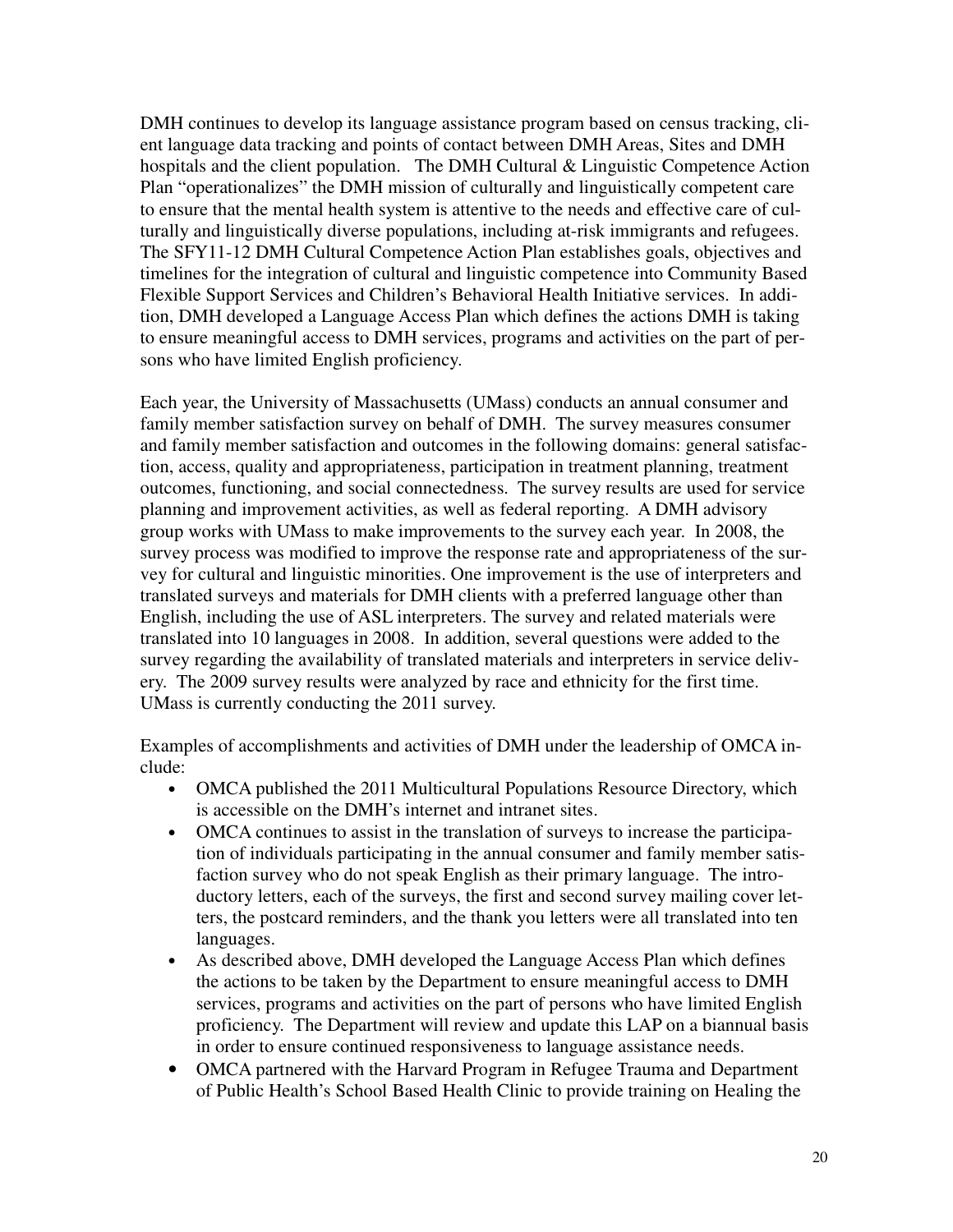DMH continues to develop its language assistance program based on census tracking, client language data tracking and points of contact between DMH Areas, Sites and DMH hospitals and the client population. The DMH Cultural & Linguistic Competence Action Plan "operationalizes" the DMH mission of culturally and linguistically competent care to ensure that the mental health system is attentive to the needs and effective care of culturally and linguistically diverse populations, including at-risk immigrants and refugees. The SFY11-12 DMH Cultural Competence Action Plan establishes goals, objectives and timelines for the integration of cultural and linguistic competence into Community Based Flexible Support Services and Children's Behavioral Health Initiative services. In addition, DMH developed a Language Access Plan which defines the actions DMH is taking to ensure meaningful access to DMH services, programs and activities on the part of persons who have limited English proficiency.

Each year, the University of Massachusetts (UMass) conducts an annual consumer and family member satisfaction survey on behalf of DMH. The survey measures consumer and family member satisfaction and outcomes in the following domains: general satisfaction, access, quality and appropriateness, participation in treatment planning, treatment outcomes, functioning, and social connectedness. The survey results are used for service planning and improvement activities, as well as federal reporting. A DMH advisory group works with UMass to make improvements to the survey each year. In 2008, the survey process was modified to improve the response rate and appropriateness of the survey for cultural and linguistic minorities. One improvement is the use of interpreters and translated surveys and materials for DMH clients with a preferred language other than English, including the use of ASL interpreters. The survey and related materials were translated into 10 languages in 2008. In addition, several questions were added to the survey regarding the availability of translated materials and interpreters in service delivery. The 2009 survey results were analyzed by race and ethnicity for the first time. UMass is currently conducting the 2011 survey.

Examples of accomplishments and activities of DMH under the leadership of OMCA include:

- OMCA published the 2011 Multicultural Populations Resource Directory, which is accessible on the DMH's internet and intranet sites.
- OMCA continues to assist in the translation of surveys to increase the participation of individuals participating in the annual consumer and family member satisfaction survey who do not speak English as their primary language. The introductory letters, each of the surveys, the first and second survey mailing cover letters, the postcard reminders, and the thank you letters were all translated into ten languages.
- As described above, DMH developed the Language Access Plan which defines the actions to be taken by the Department to ensure meaningful access to DMH services, programs and activities on the part of persons who have limited English proficiency. The Department will review and update this LAP on a biannual basis in order to ensure continued responsiveness to language assistance needs.
- OMCA partnered with the Harvard Program in Refugee Trauma and Department of Public Health's School Based Health Clinic to provide training on Healing the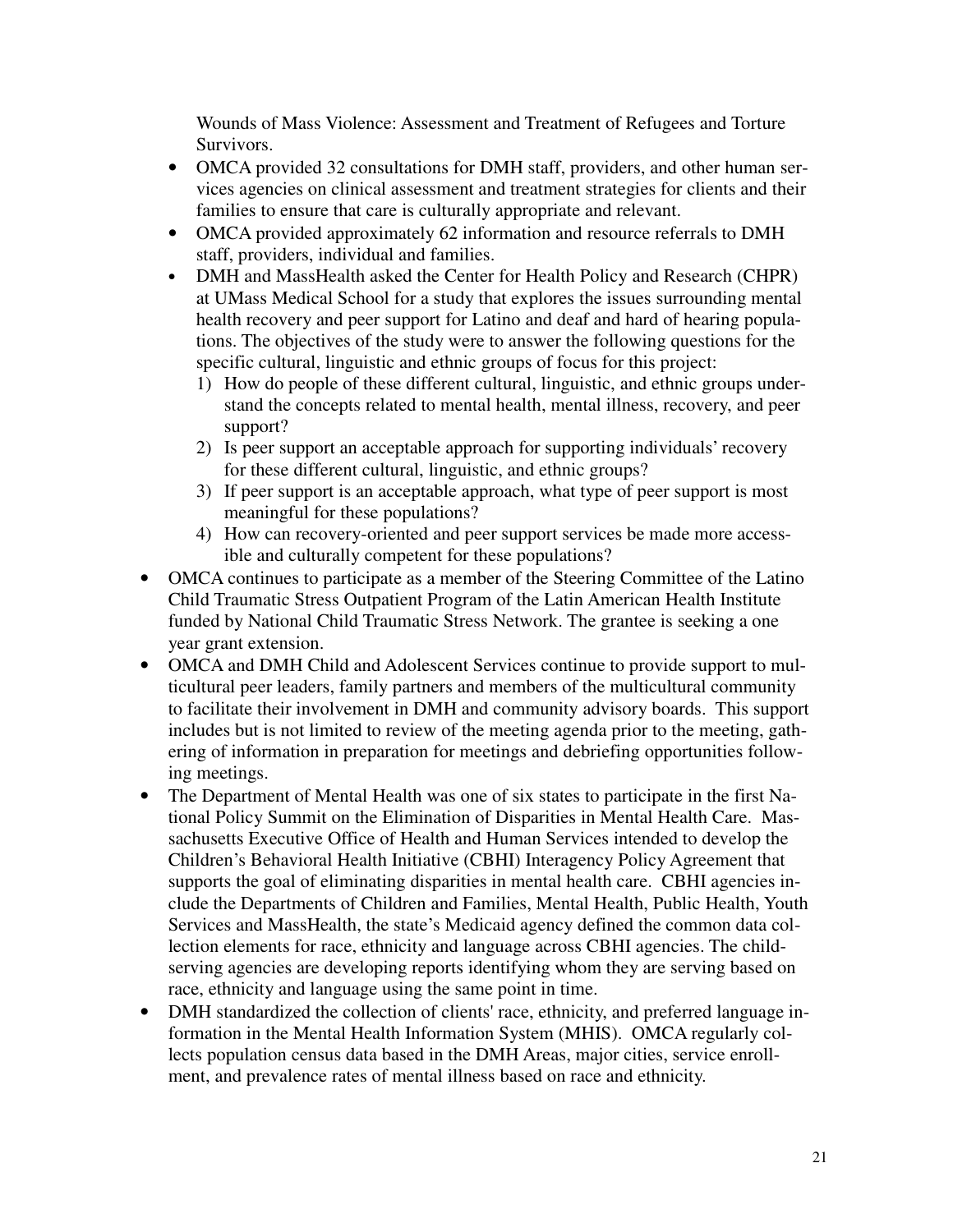Wounds of Mass Violence: Assessment and Treatment of Refugees and Torture Survivors.

- OMCA provided 32 consultations for DMH staff, providers, and other human services agencies on clinical assessment and treatment strategies for clients and their families to ensure that care is culturally appropriate and relevant.
- OMCA provided approximately 62 information and resource referrals to DMH staff, providers, individual and families.
- DMH and MassHealth asked the Center for Health Policy and Research (CHPR) at UMass Medical School for a study that explores the issues surrounding mental health recovery and peer support for Latino and deaf and hard of hearing populations. The objectives of the study were to answer the following questions for the specific cultural, linguistic and ethnic groups of focus for this project:
	- 1) How do people of these different cultural, linguistic, and ethnic groups understand the concepts related to mental health, mental illness, recovery, and peer support?
	- 2) Is peer support an acceptable approach for supporting individuals' recovery for these different cultural, linguistic, and ethnic groups?
	- 3) If peer support is an acceptable approach, what type of peer support is most meaningful for these populations?
	- 4) How can recovery-oriented and peer support services be made more accessible and culturally competent for these populations?
- OMCA continues to participate as a member of the Steering Committee of the Latino Child Traumatic Stress Outpatient Program of the Latin American Health Institute funded by National Child Traumatic Stress Network. The grantee is seeking a one year grant extension.
- OMCA and DMH Child and Adolescent Services continue to provide support to multicultural peer leaders, family partners and members of the multicultural community to facilitate their involvement in DMH and community advisory boards. This support includes but is not limited to review of the meeting agenda prior to the meeting, gathering of information in preparation for meetings and debriefing opportunities following meetings.
- The Department of Mental Health was one of six states to participate in the first National Policy Summit on the Elimination of Disparities in Mental Health Care. Massachusetts Executive Office of Health and Human Services intended to develop the Children's Behavioral Health Initiative (CBHI) Interagency Policy Agreement that supports the goal of eliminating disparities in mental health care. CBHI agencies include the Departments of Children and Families, Mental Health, Public Health, Youth Services and MassHealth, the state's Medicaid agency defined the common data collection elements for race, ethnicity and language across CBHI agencies. The childserving agencies are developing reports identifying whom they are serving based on race, ethnicity and language using the same point in time.
- DMH standardized the collection of clients' race, ethnicity, and preferred language information in the Mental Health Information System (MHIS). OMCA regularly collects population census data based in the DMH Areas, major cities, service enrollment, and prevalence rates of mental illness based on race and ethnicity.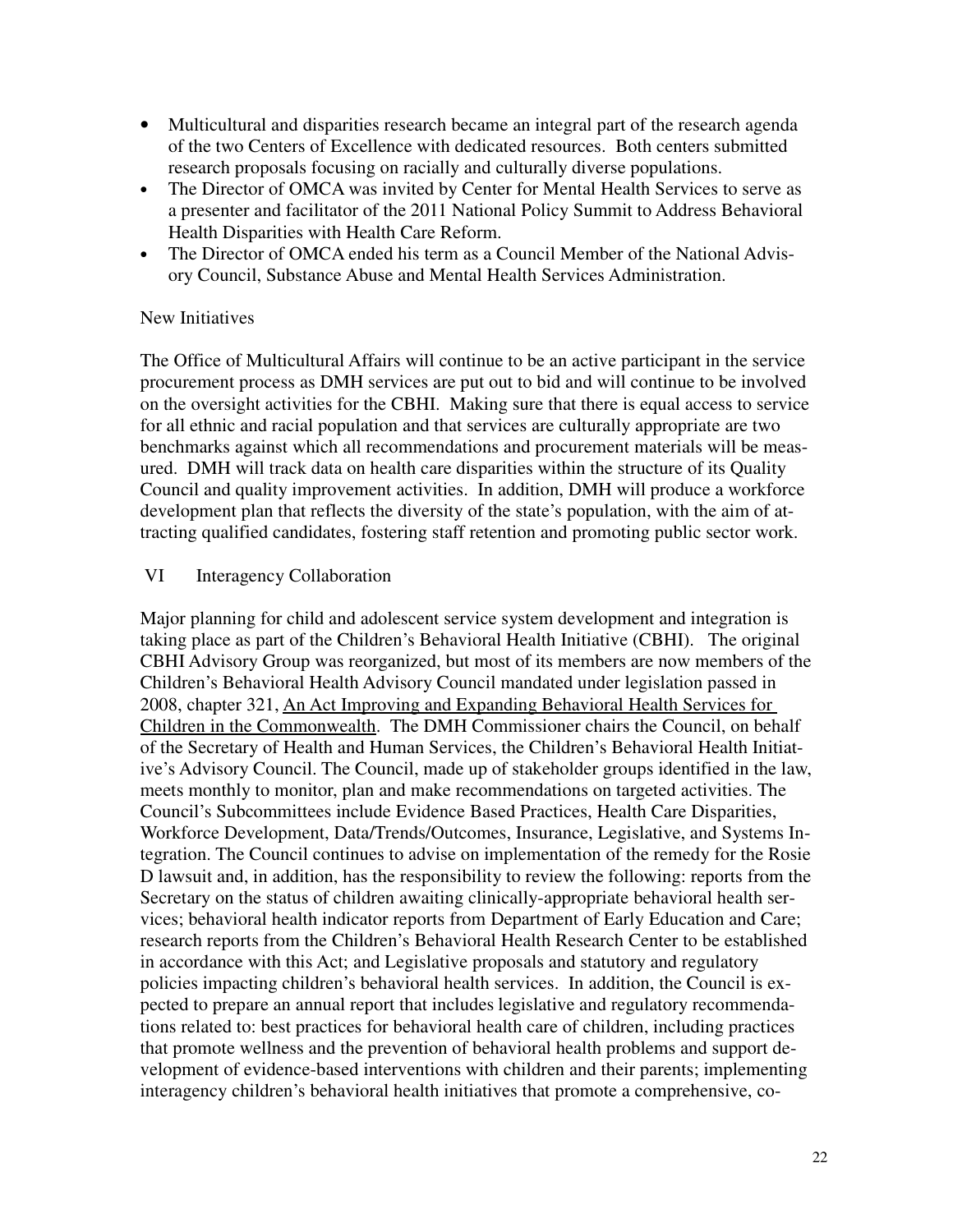- Multicultural and disparities research became an integral part of the research agenda of the two Centers of Excellence with dedicated resources. Both centers submitted research proposals focusing on racially and culturally diverse populations.
- The Director of OMCA was invited by Center for Mental Health Services to serve as a presenter and facilitator of the 2011 National Policy Summit to Address Behavioral Health Disparities with Health Care Reform.
- The Director of OMCA ended his term as a Council Member of the National Advisory Council, Substance Abuse and Mental Health Services Administration.

## New Initiatives

The Office of Multicultural Affairs will continue to be an active participant in the service procurement process as DMH services are put out to bid and will continue to be involved on the oversight activities for the CBHI. Making sure that there is equal access to service for all ethnic and racial population and that services are culturally appropriate are two benchmarks against which all recommendations and procurement materials will be measured. DMH will track data on health care disparities within the structure of its Quality Council and quality improvement activities. In addition, DMH will produce a workforce development plan that reflects the diversity of the state's population, with the aim of attracting qualified candidates, fostering staff retention and promoting public sector work.

## VI Interagency Collaboration

Major planning for child and adolescent service system development and integration is taking place as part of the Children's Behavioral Health Initiative (CBHI). The original CBHI Advisory Group was reorganized, but most of its members are now members of the Children's Behavioral Health Advisory Council mandated under legislation passed in 2008, chapter 321, An Act Improving and Expanding Behavioral Health Services for Children in the Commonwealth. The DMH Commissioner chairs the Council, on behalf of the Secretary of Health and Human Services, the Children's Behavioral Health Initiative's Advisory Council. The Council, made up of stakeholder groups identified in the law, meets monthly to monitor, plan and make recommendations on targeted activities. The Council's Subcommittees include Evidence Based Practices, Health Care Disparities, Workforce Development, Data/Trends/Outcomes, Insurance, Legislative, and Systems Integration. The Council continues to advise on implementation of the remedy for the Rosie D lawsuit and, in addition, has the responsibility to review the following: reports from the Secretary on the status of children awaiting clinically-appropriate behavioral health services; behavioral health indicator reports from Department of Early Education and Care; research reports from the Children's Behavioral Health Research Center to be established in accordance with this Act; and Legislative proposals and statutory and regulatory policies impacting children's behavioral health services. In addition, the Council is expected to prepare an annual report that includes legislative and regulatory recommendations related to: best practices for behavioral health care of children, including practices that promote wellness and the prevention of behavioral health problems and support development of evidence-based interventions with children and their parents; implementing interagency children's behavioral health initiatives that promote a comprehensive, co-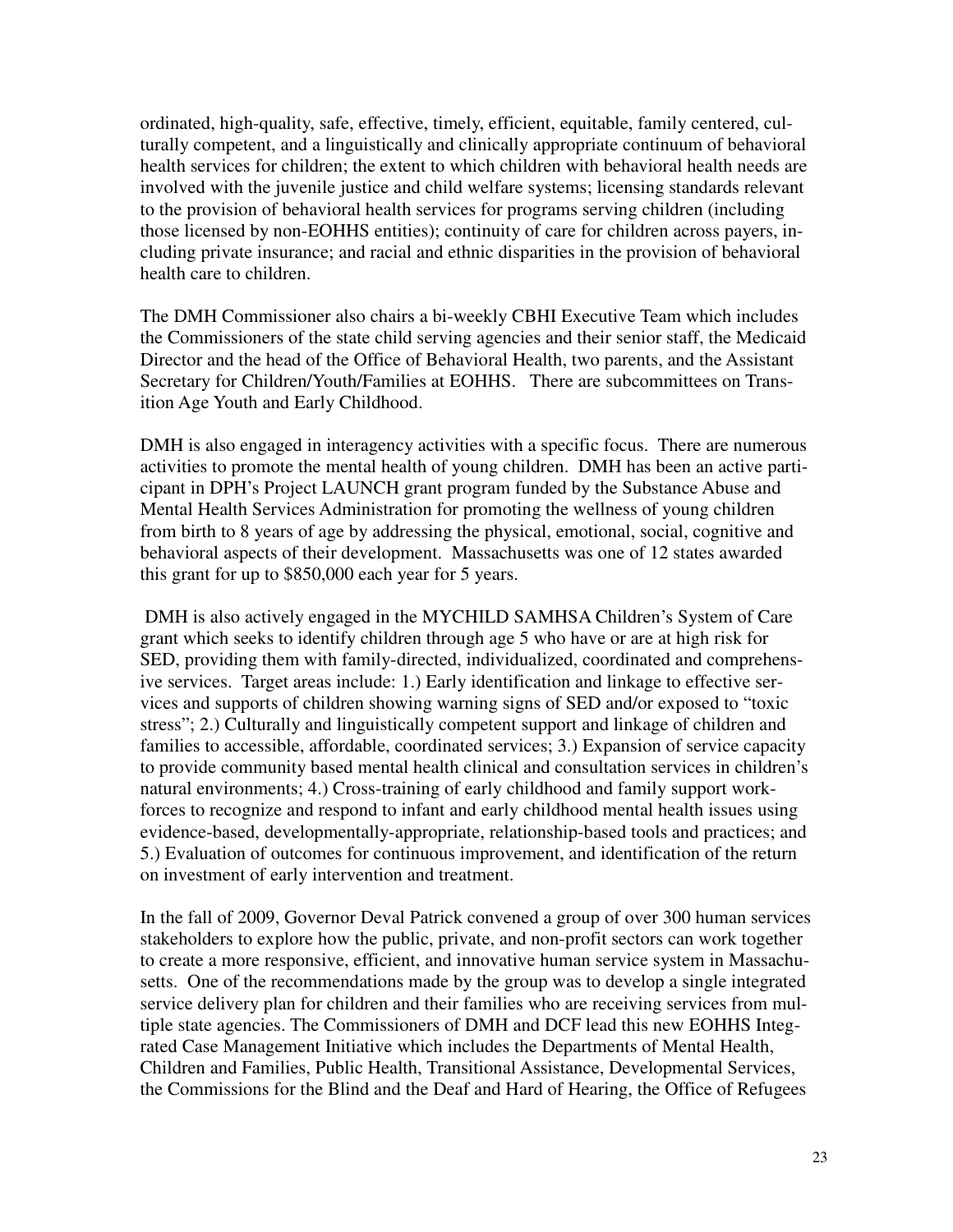ordinated, high-quality, safe, effective, timely, efficient, equitable, family centered, culturally competent, and a linguistically and clinically appropriate continuum of behavioral health services for children; the extent to which children with behavioral health needs are involved with the juvenile justice and child welfare systems; licensing standards relevant to the provision of behavioral health services for programs serving children (including those licensed by non-EOHHS entities); continuity of care for children across payers, including private insurance; and racial and ethnic disparities in the provision of behavioral health care to children.

The DMH Commissioner also chairs a bi-weekly CBHI Executive Team which includes the Commissioners of the state child serving agencies and their senior staff, the Medicaid Director and the head of the Office of Behavioral Health, two parents, and the Assistant Secretary for Children/Youth/Families at EOHHS. There are subcommittees on Transition Age Youth and Early Childhood.

DMH is also engaged in interagency activities with a specific focus. There are numerous activities to promote the mental health of young children. DMH has been an active participant in DPH's Project LAUNCH grant program funded by the Substance Abuse and Mental Health Services Administration for promoting the wellness of young children from birth to 8 years of age by addressing the physical, emotional, social, cognitive and behavioral aspects of their development. Massachusetts was one of 12 states awarded this grant for up to \$850,000 each year for 5 years.

 DMH is also actively engaged in the MYCHILD SAMHSA Children's System of Care grant which seeks to identify children through age 5 who have or are at high risk for SED, providing them with family-directed, individualized, coordinated and comprehensive services. Target areas include: 1.) Early identification and linkage to effective services and supports of children showing warning signs of SED and/or exposed to "toxic stress"; 2.) Culturally and linguistically competent support and linkage of children and families to accessible, affordable, coordinated services; 3.) Expansion of service capacity to provide community based mental health clinical and consultation services in children's natural environments; 4.) Cross-training of early childhood and family support workforces to recognize and respond to infant and early childhood mental health issues using evidence-based, developmentally-appropriate, relationship-based tools and practices; and 5.) Evaluation of outcomes for continuous improvement, and identification of the return on investment of early intervention and treatment.

In the fall of 2009, Governor Deval Patrick convened a group of over 300 human services stakeholders to explore how the public, private, and non-profit sectors can work together to create a more responsive, efficient, and innovative human service system in Massachusetts. One of the recommendations made by the group was to develop a single integrated service delivery plan for children and their families who are receiving services from multiple state agencies. The Commissioners of DMH and DCF lead this new EOHHS Integrated Case Management Initiative which includes the Departments of Mental Health, Children and Families, Public Health, Transitional Assistance, Developmental Services, the Commissions for the Blind and the Deaf and Hard of Hearing, the Office of Refugees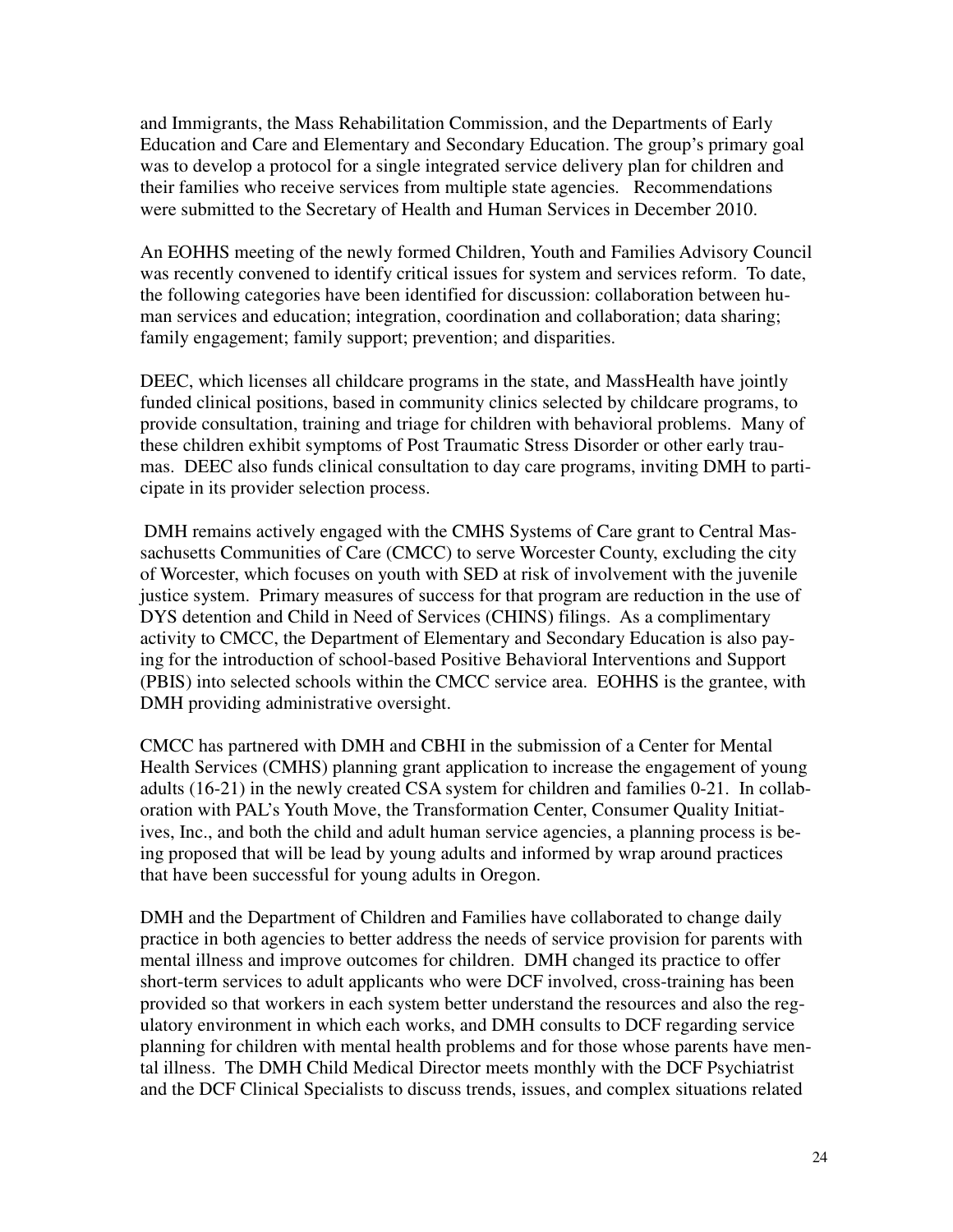and Immigrants, the Mass Rehabilitation Commission, and the Departments of Early Education and Care and Elementary and Secondary Education. The group's primary goal was to develop a protocol for a single integrated service delivery plan for children and their families who receive services from multiple state agencies. Recommendations were submitted to the Secretary of Health and Human Services in December 2010.

An EOHHS meeting of the newly formed Children, Youth and Families Advisory Council was recently convened to identify critical issues for system and services reform. To date, the following categories have been identified for discussion: collaboration between human services and education; integration, coordination and collaboration; data sharing; family engagement; family support; prevention; and disparities.

DEEC, which licenses all childcare programs in the state, and MassHealth have jointly funded clinical positions, based in community clinics selected by childcare programs, to provide consultation, training and triage for children with behavioral problems. Many of these children exhibit symptoms of Post Traumatic Stress Disorder or other early traumas. DEEC also funds clinical consultation to day care programs, inviting DMH to participate in its provider selection process.

DMH remains actively engaged with the CMHS Systems of Care grant to Central Massachusetts Communities of Care (CMCC) to serve Worcester County, excluding the city of Worcester, which focuses on youth with SED at risk of involvement with the juvenile justice system. Primary measures of success for that program are reduction in the use of DYS detention and Child in Need of Services (CHINS) filings. As a complimentary activity to CMCC, the Department of Elementary and Secondary Education is also paying for the introduction of school-based Positive Behavioral Interventions and Support (PBIS) into selected schools within the CMCC service area. EOHHS is the grantee, with DMH providing administrative oversight.

CMCC has partnered with DMH and CBHI in the submission of a Center for Mental Health Services (CMHS) planning grant application to increase the engagement of young adults (16-21) in the newly created CSA system for children and families 0-21. In collaboration with PAL's Youth Move, the Transformation Center, Consumer Quality Initiatives, Inc., and both the child and adult human service agencies, a planning process is being proposed that will be lead by young adults and informed by wrap around practices that have been successful for young adults in Oregon.

DMH and the Department of Children and Families have collaborated to change daily practice in both agencies to better address the needs of service provision for parents with mental illness and improve outcomes for children. DMH changed its practice to offer short-term services to adult applicants who were DCF involved, cross-training has been provided so that workers in each system better understand the resources and also the regulatory environment in which each works, and DMH consults to DCF regarding service planning for children with mental health problems and for those whose parents have mental illness. The DMH Child Medical Director meets monthly with the DCF Psychiatrist and the DCF Clinical Specialists to discuss trends, issues, and complex situations related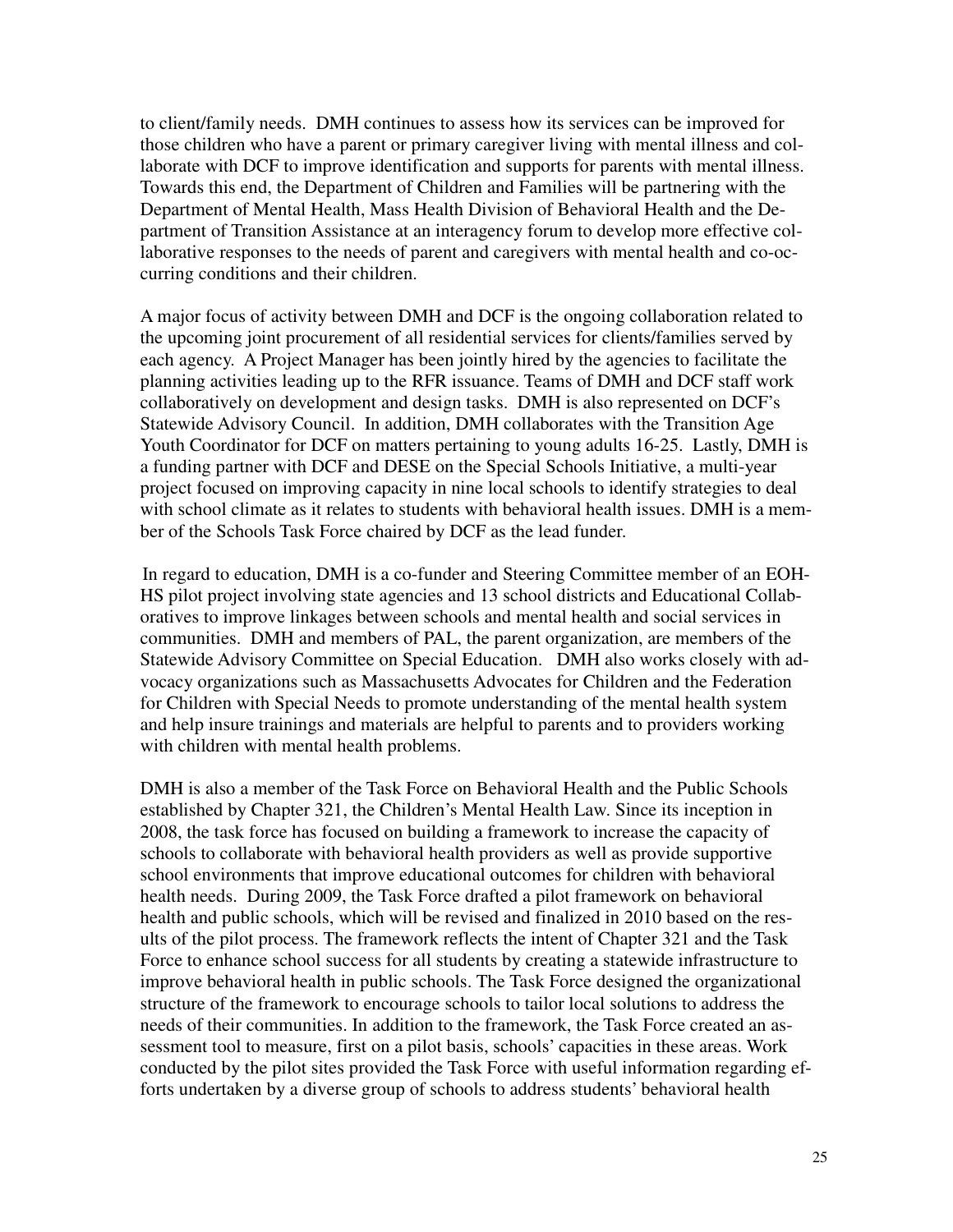to client/family needs. DMH continues to assess how its services can be improved for those children who have a parent or primary caregiver living with mental illness and collaborate with DCF to improve identification and supports for parents with mental illness. Towards this end, the Department of Children and Families will be partnering with the Department of Mental Health, Mass Health Division of Behavioral Health and the Department of Transition Assistance at an interagency forum to develop more effective collaborative responses to the needs of parent and caregivers with mental health and co-occurring conditions and their children.

A major focus of activity between DMH and DCF is the ongoing collaboration related to the upcoming joint procurement of all residential services for clients/families served by each agency. A Project Manager has been jointly hired by the agencies to facilitate the planning activities leading up to the RFR issuance. Teams of DMH and DCF staff work collaboratively on development and design tasks. DMH is also represented on DCF's Statewide Advisory Council. In addition, DMH collaborates with the Transition Age Youth Coordinator for DCF on matters pertaining to young adults 16-25. Lastly, DMH is a funding partner with DCF and DESE on the Special Schools Initiative, a multi-year project focused on improving capacity in nine local schools to identify strategies to deal with school climate as it relates to students with behavioral health issues. DMH is a member of the Schools Task Force chaired by DCF as the lead funder.

 In regard to education, DMH is a co-funder and Steering Committee member of an EOH-HS pilot project involving state agencies and 13 school districts and Educational Collaboratives to improve linkages between schools and mental health and social services in communities. DMH and members of PAL, the parent organization, are members of the Statewide Advisory Committee on Special Education. DMH also works closely with advocacy organizations such as Massachusetts Advocates for Children and the Federation for Children with Special Needs to promote understanding of the mental health system and help insure trainings and materials are helpful to parents and to providers working with children with mental health problems.

DMH is also a member of the Task Force on Behavioral Health and the Public Schools established by Chapter 321, the Children's Mental Health Law. Since its inception in 2008, the task force has focused on building a framework to increase the capacity of schools to collaborate with behavioral health providers as well as provide supportive school environments that improve educational outcomes for children with behavioral health needs. During 2009, the Task Force drafted a pilot framework on behavioral health and public schools, which will be revised and finalized in 2010 based on the results of the pilot process. The framework reflects the intent of Chapter 321 and the Task Force to enhance school success for all students by creating a statewide infrastructure to improve behavioral health in public schools. The Task Force designed the organizational structure of the framework to encourage schools to tailor local solutions to address the needs of their communities. In addition to the framework, the Task Force created an assessment tool to measure, first on a pilot basis, schools' capacities in these areas. Work conducted by the pilot sites provided the Task Force with useful information regarding efforts undertaken by a diverse group of schools to address students' behavioral health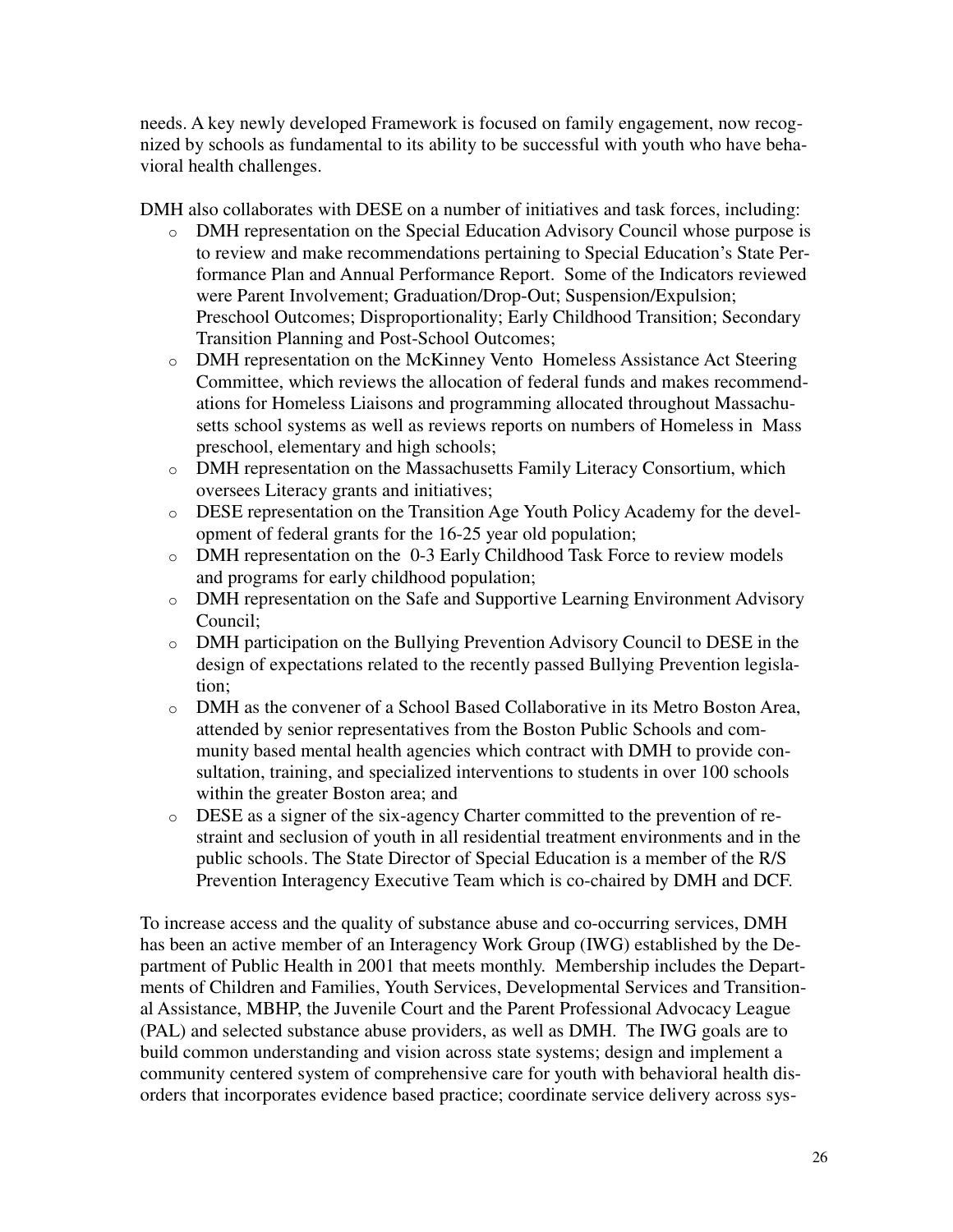needs. A key newly developed Framework is focused on family engagement, now recognized by schools as fundamental to its ability to be successful with youth who have behavioral health challenges.

DMH also collaborates with DESE on a number of initiatives and task forces, including:

- o DMH representation on the Special Education Advisory Council whose purpose is to review and make recommendations pertaining to Special Education's State Performance Plan and Annual Performance Report. Some of the Indicators reviewed were Parent Involvement; Graduation/Drop-Out; Suspension/Expulsion; Preschool Outcomes; Disproportionality; Early Childhood Transition; Secondary Transition Planning and Post-School Outcomes;
- o DMH representation on the McKinney Vento Homeless Assistance Act Steering Committee, which reviews the allocation of federal funds and makes recommendations for Homeless Liaisons and programming allocated throughout Massachusetts school systems as well as reviews reports on numbers of Homeless in Mass preschool, elementary and high schools;
- o DMH representation on the Massachusetts Family Literacy Consortium, which oversees Literacy grants and initiatives;
- o DESE representation on the Transition Age Youth Policy Academy for the development of federal grants for the 16-25 year old population;
- o DMH representation on the 0-3 Early Childhood Task Force to review models and programs for early childhood population;
- o DMH representation on the Safe and Supportive Learning Environment Advisory Council;
- o DMH participation on the Bullying Prevention Advisory Council to DESE in the design of expectations related to the recently passed Bullying Prevention legislation;
- o DMH as the convener of a School Based Collaborative in its Metro Boston Area, attended by senior representatives from the Boston Public Schools and community based mental health agencies which contract with DMH to provide consultation, training, and specialized interventions to students in over 100 schools within the greater Boston area; and
- o DESE as a signer of the six-agency Charter committed to the prevention of restraint and seclusion of youth in all residential treatment environments and in the public schools. The State Director of Special Education is a member of the R/S Prevention Interagency Executive Team which is co-chaired by DMH and DCF.

To increase access and the quality of substance abuse and co-occurring services, DMH has been an active member of an Interagency Work Group (IWG) established by the Department of Public Health in 2001 that meets monthly. Membership includes the Departments of Children and Families, Youth Services, Developmental Services and Transitional Assistance, MBHP, the Juvenile Court and the Parent Professional Advocacy League (PAL) and selected substance abuse providers, as well as DMH. The IWG goals are to build common understanding and vision across state systems; design and implement a community centered system of comprehensive care for youth with behavioral health disorders that incorporates evidence based practice; coordinate service delivery across sys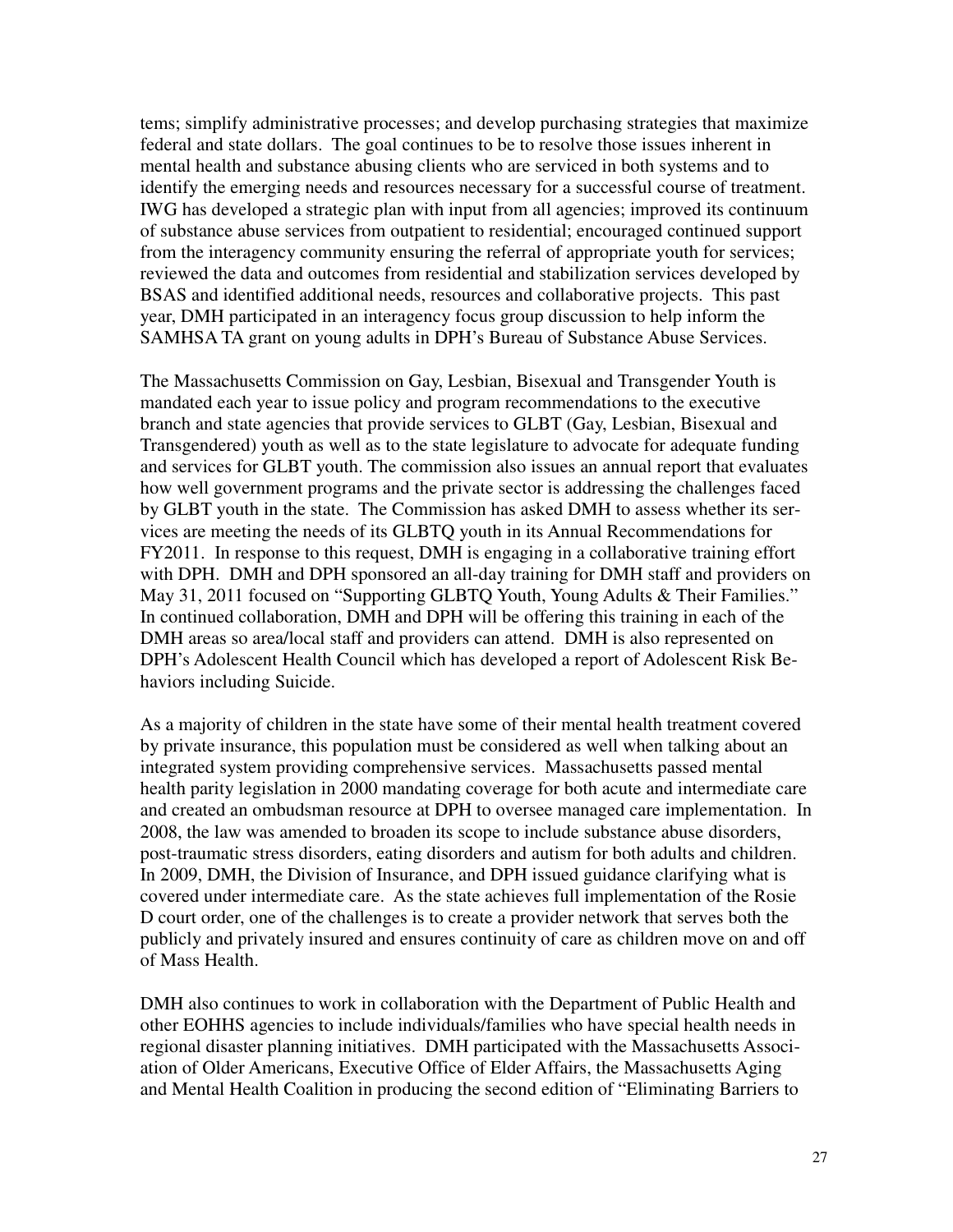tems; simplify administrative processes; and develop purchasing strategies that maximize federal and state dollars. The goal continues to be to resolve those issues inherent in mental health and substance abusing clients who are serviced in both systems and to identify the emerging needs and resources necessary for a successful course of treatment. IWG has developed a strategic plan with input from all agencies; improved its continuum of substance abuse services from outpatient to residential; encouraged continued support from the interagency community ensuring the referral of appropriate youth for services; reviewed the data and outcomes from residential and stabilization services developed by BSAS and identified additional needs, resources and collaborative projects. This past year, DMH participated in an interagency focus group discussion to help inform the SAMHSA TA grant on young adults in DPH's Bureau of Substance Abuse Services.

The Massachusetts Commission on Gay, Lesbian, Bisexual and Transgender Youth is mandated each year to issue policy and program recommendations to the executive branch and state agencies that provide services to GLBT (Gay, Lesbian, Bisexual and Transgendered) youth as well as to the state legislature to advocate for adequate funding and services for GLBT youth. The commission also issues an annual report that evaluates how well government programs and the private sector is addressing the challenges faced by GLBT youth in the state. The Commission has asked DMH to assess whether its services are meeting the needs of its GLBTQ youth in its Annual Recommendations for FY2011. In response to this request, DMH is engaging in a collaborative training effort with DPH. DMH and DPH sponsored an all-day training for DMH staff and providers on May 31, 2011 focused on "Supporting GLBTQ Youth, Young Adults & Their Families." In continued collaboration, DMH and DPH will be offering this training in each of the DMH areas so area/local staff and providers can attend. DMH is also represented on DPH's Adolescent Health Council which has developed a report of Adolescent Risk Behaviors including Suicide.

As a majority of children in the state have some of their mental health treatment covered by private insurance, this population must be considered as well when talking about an integrated system providing comprehensive services. Massachusetts passed mental health parity legislation in 2000 mandating coverage for both acute and intermediate care and created an ombudsman resource at DPH to oversee managed care implementation. In 2008, the law was amended to broaden its scope to include substance abuse disorders, post-traumatic stress disorders, eating disorders and autism for both adults and children. In 2009, DMH, the Division of Insurance, and DPH issued guidance clarifying what is covered under intermediate care. As the state achieves full implementation of the Rosie D court order, one of the challenges is to create a provider network that serves both the publicly and privately insured and ensures continuity of care as children move on and off of Mass Health.

DMH also continues to work in collaboration with the Department of Public Health and other EOHHS agencies to include individuals/families who have special health needs in regional disaster planning initiatives. DMH participated with the Massachusetts Association of Older Americans, Executive Office of Elder Affairs, the Massachusetts Aging and Mental Health Coalition in producing the second edition of "Eliminating Barriers to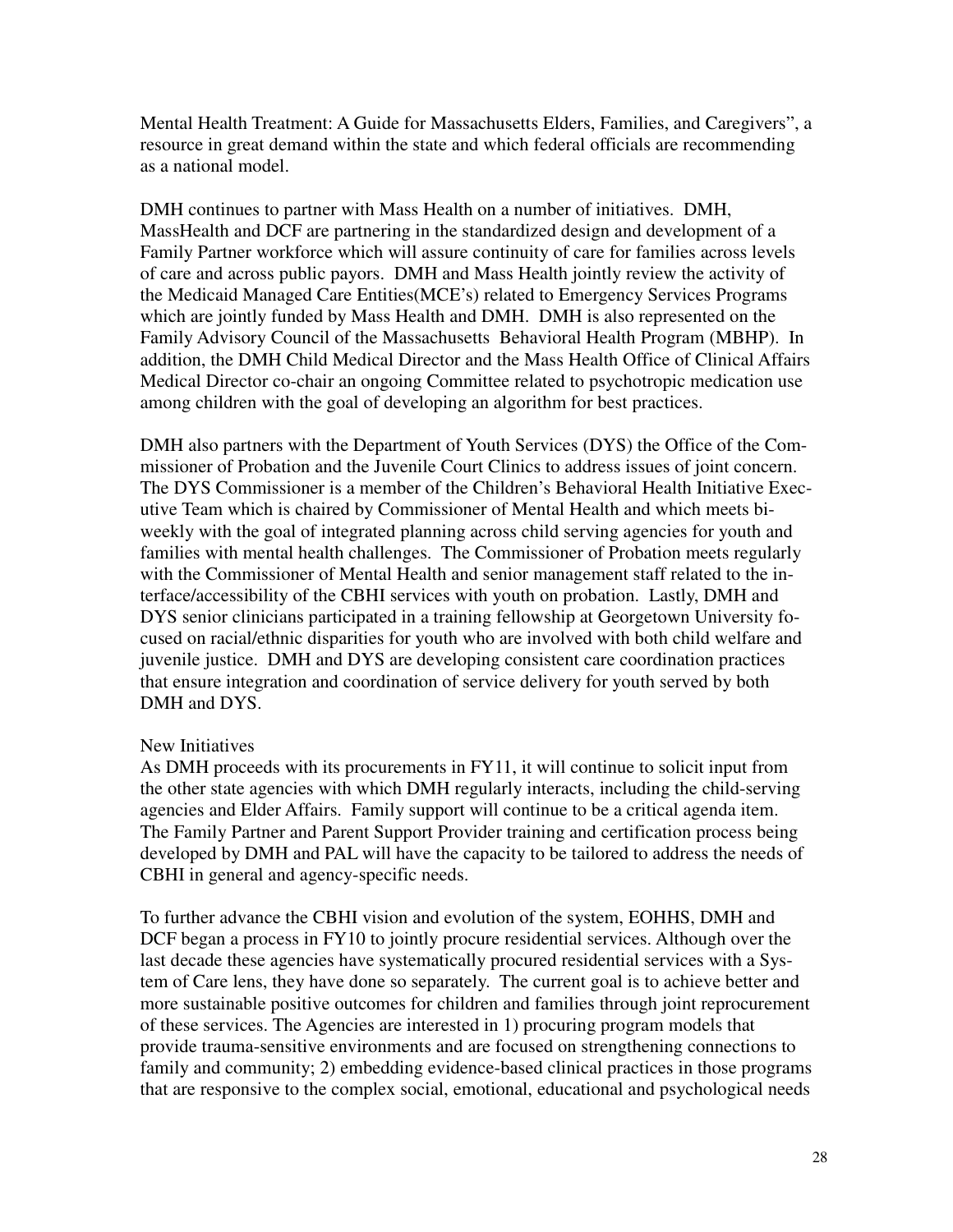Mental Health Treatment: A Guide for Massachusetts Elders, Families, and Caregivers", a resource in great demand within the state and which federal officials are recommending as a national model.

DMH continues to partner with Mass Health on a number of initiatives. DMH, MassHealth and DCF are partnering in the standardized design and development of a Family Partner workforce which will assure continuity of care for families across levels of care and across public payors. DMH and Mass Health jointly review the activity of the Medicaid Managed Care Entities(MCE's) related to Emergency Services Programs which are jointly funded by Mass Health and DMH. DMH is also represented on the Family Advisory Council of the Massachusetts Behavioral Health Program (MBHP). In addition, the DMH Child Medical Director and the Mass Health Office of Clinical Affairs Medical Director co-chair an ongoing Committee related to psychotropic medication use among children with the goal of developing an algorithm for best practices.

DMH also partners with the Department of Youth Services (DYS) the Office of the Commissioner of Probation and the Juvenile Court Clinics to address issues of joint concern. The DYS Commissioner is a member of the Children's Behavioral Health Initiative Executive Team which is chaired by Commissioner of Mental Health and which meets biweekly with the goal of integrated planning across child serving agencies for youth and families with mental health challenges. The Commissioner of Probation meets regularly with the Commissioner of Mental Health and senior management staff related to the interface/accessibility of the CBHI services with youth on probation. Lastly, DMH and DYS senior clinicians participated in a training fellowship at Georgetown University focused on racial/ethnic disparities for youth who are involved with both child welfare and juvenile justice. DMH and DYS are developing consistent care coordination practices that ensure integration and coordination of service delivery for youth served by both DMH and DYS.

## New Initiatives

As DMH proceeds with its procurements in FY11, it will continue to solicit input from the other state agencies with which DMH regularly interacts, including the child-serving agencies and Elder Affairs. Family support will continue to be a critical agenda item. The Family Partner and Parent Support Provider training and certification process being developed by DMH and PAL will have the capacity to be tailored to address the needs of CBHI in general and agency-specific needs.

To further advance the CBHI vision and evolution of the system, EOHHS, DMH and DCF began a process in FY10 to jointly procure residential services. Although over the last decade these agencies have systematically procured residential services with a System of Care lens, they have done so separately. The current goal is to achieve better and more sustainable positive outcomes for children and families through joint reprocurement of these services. The Agencies are interested in 1) procuring program models that provide trauma-sensitive environments and are focused on strengthening connections to family and community; 2) embedding evidence-based clinical practices in those programs that are responsive to the complex social, emotional, educational and psychological needs